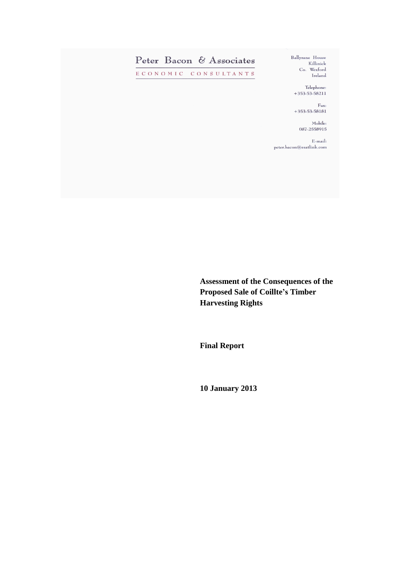

**Assessment of the Consequences of the Proposed Sale of Coillte's Timber Harvesting Rights** 

**Final Report**

**10 January 2013**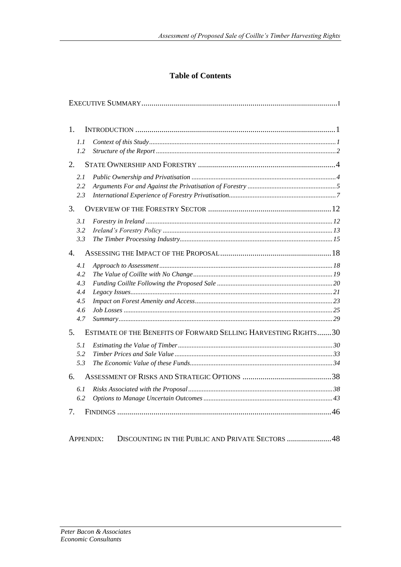# **Table of Contents**

| 1.                       |                                                                 |  |
|--------------------------|-----------------------------------------------------------------|--|
| 1.1<br>1.2               |                                                                 |  |
| 2.                       |                                                                 |  |
| 2.1<br>2.2<br>2.3        |                                                                 |  |
| 3.                       |                                                                 |  |
| 3.1<br>3.2<br>3.3        |                                                                 |  |
| $\overline{4}$ .         |                                                                 |  |
| 4.1<br>4.2<br>4.3<br>4.4 |                                                                 |  |
| 4.5<br>4.6<br>4.7        |                                                                 |  |
| 5.                       | ESTIMATE OF THE BENEFITS OF FORWARD SELLING HARVESTING RIGHTS30 |  |
| 5.1<br>5.2<br>5.3        |                                                                 |  |
| 6.                       |                                                                 |  |
| 6.1<br>6.2               |                                                                 |  |
| 7.                       |                                                                 |  |
| <b>APPENDIX:</b>         | DISCOUNTING IN THE PUBLIC AND PRIVATE SECTORS 48                |  |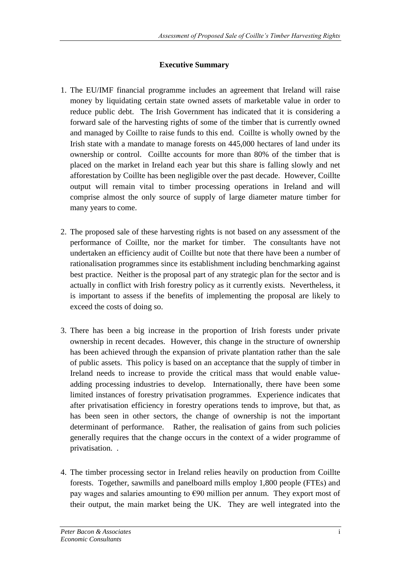## **Executive Summary**

- 1. The EU/IMF financial programme includes an agreement that Ireland will raise money by liquidating certain state owned assets of marketable value in order to reduce public debt. The Irish Government has indicated that it is considering a forward sale of the harvesting rights of some of the timber that is currently owned and managed by Coillte to raise funds to this end. Coillte is wholly owned by the Irish state with a mandate to manage forests on 445,000 hectares of land under its ownership or control. Coillte accounts for more than 80% of the timber that is placed on the market in Ireland each year but this share is falling slowly and net afforestation by Coillte has been negligible over the past decade. However, Coillte output will remain vital to timber processing operations in Ireland and will comprise almost the only source of supply of large diameter mature timber for many years to come.
- 2. The proposed sale of these harvesting rights is not based on any assessment of the performance of Coillte, nor the market for timber. The consultants have not undertaken an efficiency audit of Coillte but note that there have been a number of rationalisation programmes since its establishment including benchmarking against best practice. Neither is the proposal part of any strategic plan for the sector and is actually in conflict with Irish forestry policy as it currently exists. Nevertheless, it is important to assess if the benefits of implementing the proposal are likely to exceed the costs of doing so.
- 3. There has been a big increase in the proportion of Irish forests under private ownership in recent decades. However, this change in the structure of ownership has been achieved through the expansion of private plantation rather than the sale of public assets. This policy is based on an acceptance that the supply of timber in Ireland needs to increase to provide the critical mass that would enable valueadding processing industries to develop. Internationally, there have been some limited instances of forestry privatisation programmes. Experience indicates that after privatisation efficiency in forestry operations tends to improve, but that, as has been seen in other sectors, the change of ownership is not the important determinant of performance. Rather, the realisation of gains from such policies generally requires that the change occurs in the context of a wider programme of privatisation. .
- 4. The timber processing sector in Ireland relies heavily on production from Coillte forests. Together, sawmills and panelboard mills employ 1,800 people (FTEs) and pay wages and salaries amounting to  $\epsilon$ 90 million per annum. They export most of their output, the main market being the UK. They are well integrated into the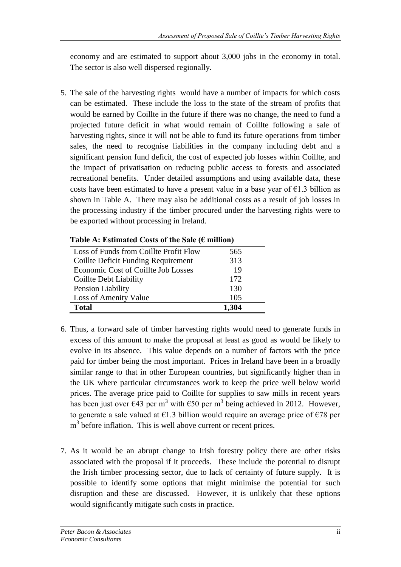economy and are estimated to support about 3,000 jobs in the economy in total. The sector is also well dispersed regionally.

5. The sale of the harvesting rights would have a number of impacts for which costs can be estimated. These include the loss to the state of the stream of profits that would be earned by Coillte in the future if there was no change, the need to fund a projected future deficit in what would remain of Coillte following a sale of harvesting rights, since it will not be able to fund its future operations from timber sales, the need to recognise liabilities in the company including debt and a significant pension fund deficit, the cost of expected job losses within Coillte, and the impact of privatisation on reducing public access to forests and associated recreational benefits. Under detailed assumptions and using available data, these costs have been estimated to have a present value in a base year of  $E1.3$  billion as shown in Table A. There may also be additional costs as a result of job losses in the processing industry if the timber procured under the harvesting rights were to be exported without processing in Ireland.

| Loss of Funds from Coillte Profit Flow | 565   |
|----------------------------------------|-------|
| Coillte Deficit Funding Requirement    | 313   |
| Economic Cost of Coillte Job Losses    | 19    |
| Coillte Debt Liability                 | 172   |
| Pension Liability                      | 130   |
| Loss of Amenity Value                  | 105   |
| <b>Total</b>                           | 1,304 |
|                                        |       |

- 6. Thus, a forward sale of timber harvesting rights would need to generate funds in excess of this amount to make the proposal at least as good as would be likely to evolve in its absence. This value depends on a number of factors with the price paid for timber being the most important. Prices in Ireland have been in a broadly similar range to that in other European countries, but significantly higher than in the UK where particular circumstances work to keep the price well below world prices. The average price paid to Coillte for supplies to saw mills in recent years has been just over  $\epsilon$ 43 per m<sup>3</sup> with  $\epsilon$ 50 per m<sup>3</sup> being achieved in 2012. However, to generate a sale valued at  $\epsilon$ 1.3 billion would require an average price of  $\epsilon$ 78 per  $m<sup>3</sup>$  before inflation. This is well above current or recent prices.
- 7. As it would be an abrupt change to Irish forestry policy there are other risks associated with the proposal if it proceeds. These include the potential to disrupt the Irish timber processing sector, due to lack of certainty of future supply. It is possible to identify some options that might minimise the potential for such disruption and these are discussed. However, it is unlikely that these options would significantly mitigate such costs in practice.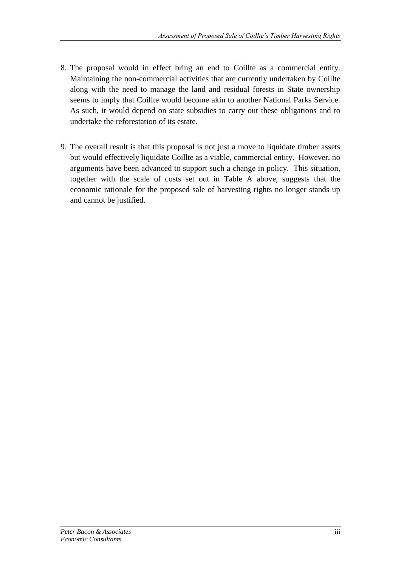- 8. The proposal would in effect bring an end to Coillte as a commercial entity. Maintaining the non-commercial activities that are currently undertaken by Coillte along with the need to manage the land and residual forests in State ownership seems to imply that Coillte would become akin to another National Parks Service. As such, it would depend on state subsidies to carry out these obligations and to undertake the reforestation of its estate.
- 9. The overall result is that this proposal is not just a move to liquidate timber assets but would effectively liquidate Coillte as a viable, commercial entity. However, no arguments have been advanced to support such a change in policy. This situation, together with the scale of costs set out in Table A above, suggests that the economic rationale for the proposed sale of harvesting rights no longer stands up and cannot be justified.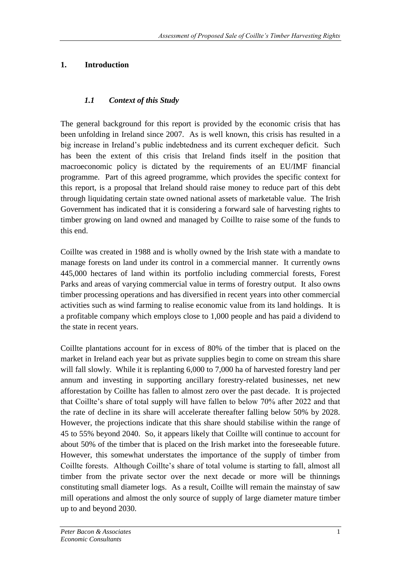## **1. Introduction**

## *1.1 Context of this Study*

The general background for this report is provided by the economic crisis that has been unfolding in Ireland since 2007. As is well known, this crisis has resulted in a big increase in Ireland's public indebtedness and its current exchequer deficit. Such has been the extent of this crisis that Ireland finds itself in the position that macroeconomic policy is dictated by the requirements of an EU/IMF financial programme. Part of this agreed programme, which provides the specific context for this report, is a proposal that Ireland should raise money to reduce part of this debt through liquidating certain state owned national assets of marketable value. The Irish Government has indicated that it is considering a forward sale of harvesting rights to timber growing on land owned and managed by Coillte to raise some of the funds to this end.

Coillte was created in 1988 and is wholly owned by the Irish state with a mandate to manage forests on land under its control in a commercial manner. It currently owns 445,000 hectares of land within its portfolio including commercial forests, Forest Parks and areas of varying commercial value in terms of forestry output. It also owns timber processing operations and has diversified in recent years into other commercial activities such as wind farming to realise economic value from its land holdings. It is a profitable company which employs close to 1,000 people and has paid a dividend to the state in recent years.

Coillte plantations account for in excess of 80% of the timber that is placed on the market in Ireland each year but as private supplies begin to come on stream this share will fall slowly. While it is replanting 6,000 to 7,000 ha of harvested forestry land per annum and investing in supporting ancillary forestry-related businesses, net new afforestation by Coillte has fallen to almost zero over the past decade. It is projected that Coillte's share of total supply will have fallen to below 70% after 2022 and that the rate of decline in its share will accelerate thereafter falling below 50% by 2028. However, the projections indicate that this share should stabilise within the range of 45 to 55% beyond 2040. So, it appears likely that Coillte will continue to account for about 50% of the timber that is placed on the Irish market into the foreseeable future. However, this somewhat understates the importance of the supply of timber from Coillte forests. Although Coillte's share of total volume is starting to fall, almost all timber from the private sector over the next decade or more will be thinnings constituting small diameter logs. As a result, Coillte will remain the mainstay of saw mill operations and almost the only source of supply of large diameter mature timber up to and beyond 2030.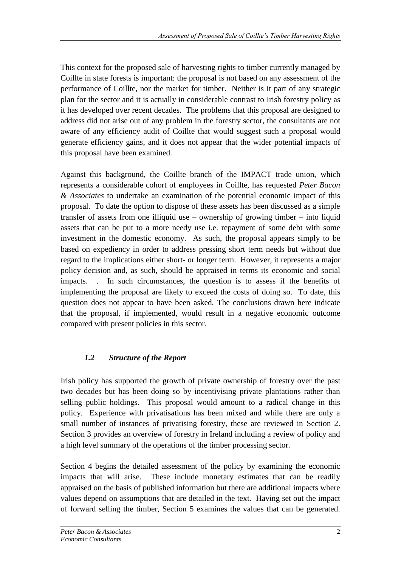This context for the proposed sale of harvesting rights to timber currently managed by Coillte in state forests is important: the proposal is not based on any assessment of the performance of Coillte, nor the market for timber. Neither is it part of any strategic plan for the sector and it is actually in considerable contrast to Irish forestry policy as it has developed over recent decades. The problems that this proposal are designed to address did not arise out of any problem in the forestry sector, the consultants are not aware of any efficiency audit of Coillte that would suggest such a proposal would generate efficiency gains, and it does not appear that the wider potential impacts of this proposal have been examined.

Against this background, the Coillte branch of the IMPACT trade union, which represents a considerable cohort of employees in Coillte, has requested *Peter Bacon & Associates* to undertake an examination of the potential economic impact of this proposal. To date the option to dispose of these assets has been discussed as a simple transfer of assets from one illiquid use – ownership of growing timber – into liquid assets that can be put to a more needy use i.e. repayment of some debt with some investment in the domestic economy. As such, the proposal appears simply to be based on expediency in order to address pressing short term needs but without due regard to the implications either short- or longer term. However, it represents a major policy decision and, as such, should be appraised in terms its economic and social impacts. . In such circumstances, the question is to assess if the benefits of implementing the proposal are likely to exceed the costs of doing so. To date, this question does not appear to have been asked. The conclusions drawn here indicate that the proposal, if implemented, would result in a negative economic outcome compared with present policies in this sector.

# *1.2 Structure of the Report*

Irish policy has supported the growth of private ownership of forestry over the past two decades but has been doing so by incentivising private plantations rather than selling public holdings. This proposal would amount to a radical change in this policy. Experience with privatisations has been mixed and while there are only a small number of instances of privatising forestry, these are reviewed in Section 2. Section 3 provides an overview of forestry in Ireland including a review of policy and a high level summary of the operations of the timber processing sector.

Section 4 begins the detailed assessment of the policy by examining the economic impacts that will arise. These include monetary estimates that can be readily appraised on the basis of published information but there are additional impacts where values depend on assumptions that are detailed in the text. Having set out the impact of forward selling the timber, Section 5 examines the values that can be generated.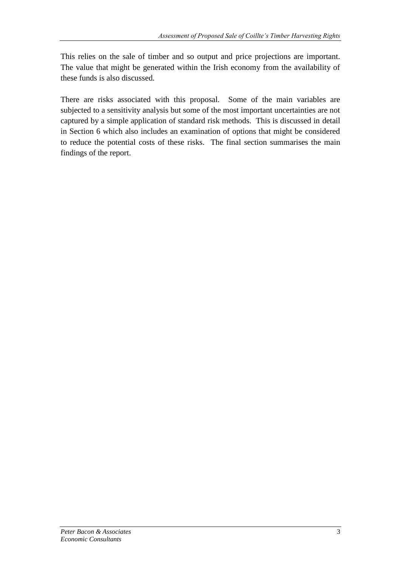This relies on the sale of timber and so output and price projections are important. The value that might be generated within the Irish economy from the availability of these funds is also discussed.

There are risks associated with this proposal. Some of the main variables are subjected to a sensitivity analysis but some of the most important uncertainties are not captured by a simple application of standard risk methods. This is discussed in detail in Section 6 which also includes an examination of options that might be considered to reduce the potential costs of these risks. The final section summarises the main findings of the report.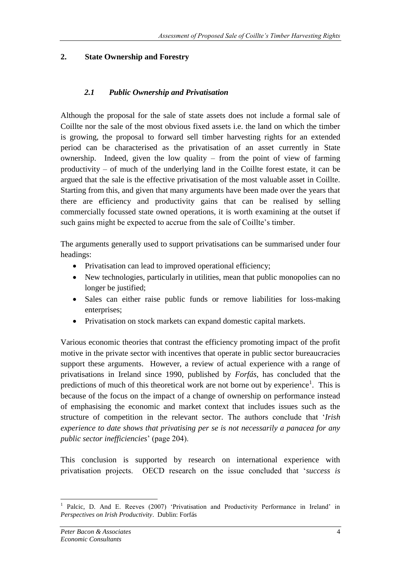## **2. State Ownership and Forestry**

## *2.1 Public Ownership and Privatisation*

Although the proposal for the sale of state assets does not include a formal sale of Coillte nor the sale of the most obvious fixed assets i.e. the land on which the timber is growing, the proposal to forward sell timber harvesting rights for an extended period can be characterised as the privatisation of an asset currently in State ownership. Indeed, given the low quality – from the point of view of farming productivity – of much of the underlying land in the Coillte forest estate, it can be argued that the sale is the effective privatisation of the most valuable asset in Coillte. Starting from this, and given that many arguments have been made over the years that there are efficiency and productivity gains that can be realised by selling commercially focussed state owned operations, it is worth examining at the outset if such gains might be expected to accrue from the sale of Coillte's timber.

The arguments generally used to support privatisations can be summarised under four headings:

- Privatisation can lead to improved operational efficiency;
- New technologies, particularly in utilities, mean that public monopolies can no longer be justified;
- Sales can either raise public funds or remove liabilities for loss-making enterprises;
- Privatisation on stock markets can expand domestic capital markets.

Various economic theories that contrast the efficiency promoting impact of the profit motive in the private sector with incentives that operate in public sector bureaucracies support these arguments. However, a review of actual experience with a range of privatisations in Ireland since 1990, published by *Forfás*, has concluded that the predictions of much of this theoretical work are not borne out by experience<sup>1</sup>. This is because of the focus on the impact of a change of ownership on performance instead of emphasising the economic and market context that includes issues such as the structure of competition in the relevant sector. The authors conclude that '*Irish experience to date shows that privatising per se is not necessarily a panacea for any public sector inefficiencies*' (page 204).

This conclusion is supported by research on international experience with privatisation projects. OECD research on the issue concluded that '*success is*

<sup>1</sup> 1 Palcic, D. And E. Reeves (2007) 'Privatisation and Productivity Performance in Ireland' in *Perspectives on Irish Productivity*. Dublin: Forfás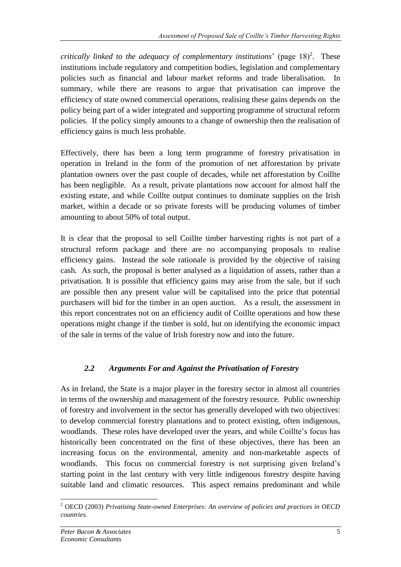*critically linked to the adequacy of complementary institutions*' (page  $18)^2$ . These institutions include regulatory and competition bodies, legislation and complementary policies such as financial and labour market reforms and trade liberalisation. In summary, while there are reasons to argue that privatisation can improve the efficiency of state owned commercial operations, realising these gains depends on the policy being part of a wider integrated and supporting programme of structural reform policies. If the policy simply amounts to a change of ownership then the realisation of efficiency gains is much less probable.

Effectively, there has been a long term programme of forestry privatisation in operation in Ireland in the form of the promotion of net afforestation by private plantation owners over the past couple of decades, while net afforestation by Coillte has been negligible. As a result, private plantations now account for almost half the existing estate, and while Coillte output continues to dominate supplies on the Irish market, within a decade or so private forests will be producing volumes of timber amounting to about 50% of total output.

It is clear that the proposal to sell Coillte timber harvesting rights is not part of a structural reform package and there are no accompanying proposals to realise efficiency gains. Instead the sole rationale is provided by the objective of raising cash. As such, the proposal is better analysed as a liquidation of assets, rather than a privatisation. It is possible that efficiency gains may arise from the sale, but if such are possible then any present value will be capitalised into the price that potential purchasers will bid for the timber in an open auction. As a result, the assessment in this report concentrates not on an efficiency audit of Coillte operations and how these operations might change if the timber is sold, but on identifying the economic impact of the sale in terms of the value of Irish forestry now and into the future.

## *2.2 Arguments For and Against the Privatisation of Forestry*

As in Ireland, the State is a major player in the forestry sector in almost all countries in terms of the ownership and management of the forestry resource. Public ownership of forestry and involvement in the sector has generally developed with two objectives: to develop commercial forestry plantations and to protect existing, often indigenous, woodlands. These roles have developed over the years, and while Coillte's focus has historically been concentrated on the first of these objectives, there has been an increasing focus on the environmental, amenity and non-marketable aspects of woodlands. This focus on commercial forestry is not surprising given Ireland's starting point in the last century with very little indigenous forestry despite having suitable land and climatic resources. This aspect remains predominant and while

<sup>1</sup> <sup>2</sup> OECD (2003) *Privatising State-owned Enterprises: An overview of policies and practices in OECD countries.*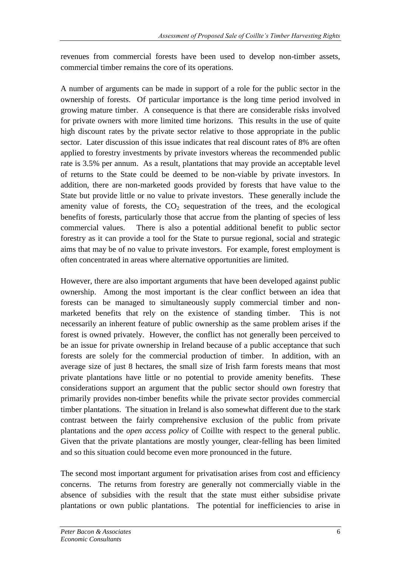revenues from commercial forests have been used to develop non-timber assets, commercial timber remains the core of its operations.

A number of arguments can be made in support of a role for the public sector in the ownership of forests. Of particular importance is the long time period involved in growing mature timber. A consequence is that there are considerable risks involved for private owners with more limited time horizons. This results in the use of quite high discount rates by the private sector relative to those appropriate in the public sector. Later discussion of this issue indicates that real discount rates of 8% are often applied to forestry investments by private investors whereas the recommended public rate is 3.5% per annum. As a result, plantations that may provide an acceptable level of returns to the State could be deemed to be non-viable by private investors. In addition, there are non-marketed goods provided by forests that have value to the State but provide little or no value to private investors. These generally include the amenity value of forests, the  $CO<sub>2</sub>$  sequestration of the trees, and the ecological benefits of forests, particularly those that accrue from the planting of species of less commercial values. There is also a potential additional benefit to public sector forestry as it can provide a tool for the State to pursue regional, social and strategic aims that may be of no value to private investors. For example, forest employment is often concentrated in areas where alternative opportunities are limited.

However, there are also important arguments that have been developed against public ownership. Among the most important is the clear conflict between an idea that forests can be managed to simultaneously supply commercial timber and nonmarketed benefits that rely on the existence of standing timber. This is not necessarily an inherent feature of public ownership as the same problem arises if the forest is owned privately. However, the conflict has not generally been perceived to be an issue for private ownership in Ireland because of a public acceptance that such forests are solely for the commercial production of timber. In addition, with an average size of just 8 hectares, the small size of Irish farm forests means that most private plantations have little or no potential to provide amenity benefits. These considerations support an argument that the public sector should own forestry that primarily provides non-timber benefits while the private sector provides commercial timber plantations. The situation in Ireland is also somewhat different due to the stark contrast between the fairly comprehensive exclusion of the public from private plantations and the *open access policy* of Coillte with respect to the general public. Given that the private plantations are mostly younger, clear-felling has been limited and so this situation could become even more pronounced in the future.

The second most important argument for privatisation arises from cost and efficiency concerns. The returns from forestry are generally not commercially viable in the absence of subsidies with the result that the state must either subsidise private plantations or own public plantations. The potential for inefficiencies to arise in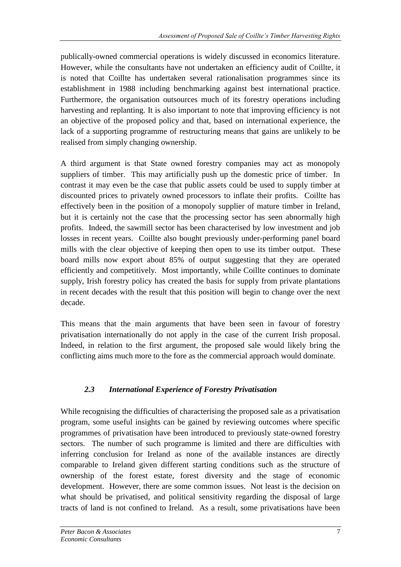publically-owned commercial operations is widely discussed in economics literature. However, while the consultants have not undertaken an efficiency audit of Coillte, it is noted that Coillte has undertaken several rationalisation programmes since its establishment in 1988 including benchmarking against best international practice. Furthermore, the organisation outsources much of its forestry operations including harvesting and replanting. It is also important to note that improving efficiency is not an objective of the proposed policy and that, based on international experience, the lack of a supporting programme of restructuring means that gains are unlikely to be realised from simply changing ownership.

A third argument is that State owned forestry companies may act as monopoly suppliers of timber. This may artificially push up the domestic price of timber. In contrast it may even be the case that public assets could be used to supply timber at discounted prices to privately owned processors to inflate their profits. Coillte has effectively been in the position of a monopoly supplier of mature timber in Ireland, but it is certainly not the case that the processing sector has seen abnormally high profits. Indeed, the sawmill sector has been characterised by low investment and job losses in recent years. Coillte also bought previously under-performing panel board mills with the clear objective of keeping then open to use its timber output. These board mills now export about 85% of output suggesting that they are operated efficiently and competitively. Most importantly, while Coillte continues to dominate supply, Irish forestry policy has created the basis for supply from private plantations in recent decades with the result that this position will begin to change over the next decade.

This means that the main arguments that have been seen in favour of forestry privatisation internationally do not apply in the case of the current Irish proposal. Indeed, in relation to the first argument, the proposed sale would likely bring the conflicting aims much more to the fore as the commercial approach would dominate.

# *2.3 International Experience of Forestry Privatisation*

While recognising the difficulties of characterising the proposed sale as a privatisation program, some useful insights can be gained by reviewing outcomes where specific programmes of privatisation have been introduced to previously state-owned forestry sectors. The number of such programme is limited and there are difficulties with inferring conclusion for Ireland as none of the available instances are directly comparable to Ireland given different starting conditions such as the structure of ownership of the forest estate, forest diversity and the stage of economic development. However, there are some common issues. Not least is the decision on what should be privatised, and political sensitivity regarding the disposal of large tracts of land is not confined to Ireland. As a result, some privatisations have been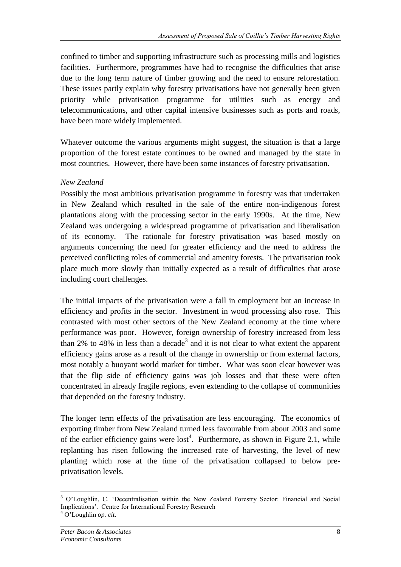confined to timber and supporting infrastructure such as processing mills and logistics facilities. Furthermore, programmes have had to recognise the difficulties that arise due to the long term nature of timber growing and the need to ensure reforestation. These issues partly explain why forestry privatisations have not generally been given priority while privatisation programme for utilities such as energy and telecommunications, and other capital intensive businesses such as ports and roads, have been more widely implemented.

Whatever outcome the various arguments might suggest, the situation is that a large proportion of the forest estate continues to be owned and managed by the state in most countries. However, there have been some instances of forestry privatisation.

#### *New Zealand*

Possibly the most ambitious privatisation programme in forestry was that undertaken in New Zealand which resulted in the sale of the entire non-indigenous forest plantations along with the processing sector in the early 1990s. At the time, New Zealand was undergoing a widespread programme of privatisation and liberalisation of its economy. The rationale for forestry privatisation was based mostly on arguments concerning the need for greater efficiency and the need to address the perceived conflicting roles of commercial and amenity forests. The privatisation took place much more slowly than initially expected as a result of difficulties that arose including court challenges.

The initial impacts of the privatisation were a fall in employment but an increase in efficiency and profits in the sector. Investment in wood processing also rose. This contrasted with most other sectors of the New Zealand economy at the time where performance was poor. However, foreign ownership of forestry increased from less than 2% to 48% in less than a decade<sup>3</sup> and it is not clear to what extent the apparent efficiency gains arose as a result of the change in ownership or from external factors, most notably a buoyant world market for timber. What was soon clear however was that the flip side of efficiency gains was job losses and that these were often concentrated in already fragile regions, even extending to the collapse of communities that depended on the forestry industry.

The longer term effects of the privatisation are less encouraging. The economics of exporting timber from New Zealand turned less favourable from about 2003 and some of the earlier efficiency gains were  $\text{lost}^4$ . Furthermore, as shown in Figure 2.1, while replanting has risen following the increased rate of harvesting, the level of new planting which rose at the time of the privatisation collapsed to below preprivatisation levels.

<u>.</u>

<sup>&</sup>lt;sup>3</sup> O'Loughlin, C. 'Decentralisation within the New Zealand Forestry Sector: Financial and Social Implications'. Centre for International Forestry Research

<sup>4</sup> O'Loughlin *op. cit.*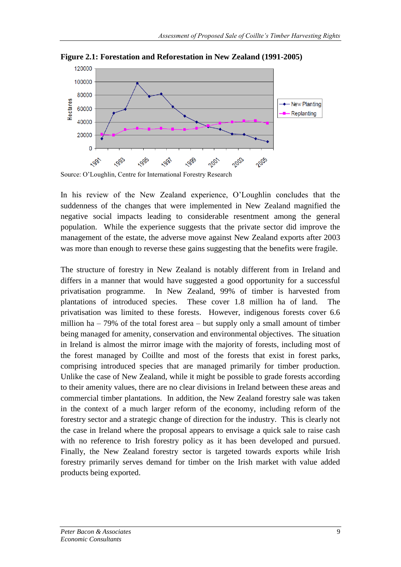

**Figure 2.1: Forestation and Reforestation in New Zealand (1991-2005)**

In his review of the New Zealand experience, O'Loughlin concludes that the suddenness of the changes that were implemented in New Zealand magnified the negative social impacts leading to considerable resentment among the general population. While the experience suggests that the private sector did improve the management of the estate, the adverse move against New Zealand exports after 2003 was more than enough to reverse these gains suggesting that the benefits were fragile.

The structure of forestry in New Zealand is notably different from in Ireland and differs in a manner that would have suggested a good opportunity for a successful privatisation programme. In New Zealand, 99% of timber is harvested from plantations of introduced species. These cover 1.8 million ha of land. The privatisation was limited to these forests. However, indigenous forests cover 6.6 million ha – 79% of the total forest area – but supply only a small amount of timber being managed for amenity, conservation and environmental objectives. The situation in Ireland is almost the mirror image with the majority of forests, including most of the forest managed by Coillte and most of the forests that exist in forest parks, comprising introduced species that are managed primarily for timber production. Unlike the case of New Zealand, while it might be possible to grade forests according to their amenity values, there are no clear divisions in Ireland between these areas and commercial timber plantations. In addition, the New Zealand forestry sale was taken in the context of a much larger reform of the economy, including reform of the forestry sector and a strategic change of direction for the industry. This is clearly not the case in Ireland where the proposal appears to envisage a quick sale to raise cash with no reference to Irish forestry policy as it has been developed and pursued. Finally, the New Zealand forestry sector is targeted towards exports while Irish forestry primarily serves demand for timber on the Irish market with value added products being exported.

Source: O'Loughlin, Centre for International Forestry Research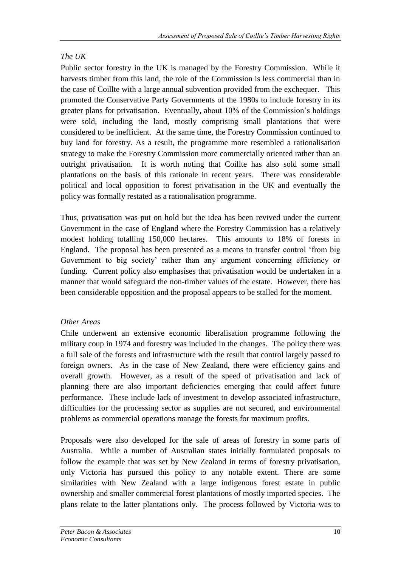# *The UK*

Public sector forestry in the UK is managed by the Forestry Commission. While it harvests timber from this land, the role of the Commission is less commercial than in the case of Coillte with a large annual subvention provided from the exchequer. This promoted the Conservative Party Governments of the 1980s to include forestry in its greater plans for privatisation. Eventually, about 10% of the Commission's holdings were sold, including the land, mostly comprising small plantations that were considered to be inefficient. At the same time, the Forestry Commission continued to buy land for forestry. As a result, the programme more resembled a rationalisation strategy to make the Forestry Commission more commercially oriented rather than an outright privatisation. It is worth noting that Coillte has also sold some small plantations on the basis of this rationale in recent years. There was considerable political and local opposition to forest privatisation in the UK and eventually the policy was formally restated as a rationalisation programme.

Thus, privatisation was put on hold but the idea has been revived under the current Government in the case of England where the Forestry Commission has a relatively modest holding totalling 150,000 hectares. This amounts to 18% of forests in England. The proposal has been presented as a means to transfer control 'from big Government to big society' rather than any argument concerning efficiency or funding. Current policy also emphasises that privatisation would be undertaken in a manner that would safeguard the non-timber values of the estate. However, there has been considerable opposition and the proposal appears to be stalled for the moment.

# *Other Areas*

Chile underwent an extensive economic liberalisation programme following the military coup in 1974 and forestry was included in the changes. The policy there was a full sale of the forests and infrastructure with the result that control largely passed to foreign owners. As in the case of New Zealand, there were efficiency gains and overall growth. However, as a result of the speed of privatisation and lack of planning there are also important deficiencies emerging that could affect future performance. These include lack of investment to develop associated infrastructure, difficulties for the processing sector as supplies are not secured, and environmental problems as commercial operations manage the forests for maximum profits.

Proposals were also developed for the sale of areas of forestry in some parts of Australia. While a number of Australian states initially formulated proposals to follow the example that was set by New Zealand in terms of forestry privatisation, only Victoria has pursued this policy to any notable extent. There are some similarities with New Zealand with a large indigenous forest estate in public ownership and smaller commercial forest plantations of mostly imported species. The plans relate to the latter plantations only. The process followed by Victoria was to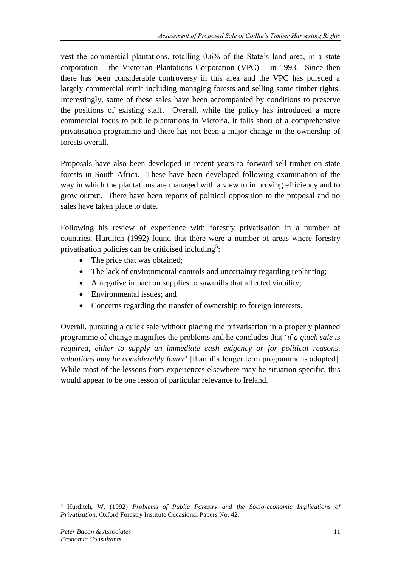vest the commercial plantations, totalling 0.6% of the State's land area, in a state corporation – the Victorian Plantations Corporation (VPC) – in 1993. Since then there has been considerable controversy in this area and the VPC has pursued a largely commercial remit including managing forests and selling some timber rights. Interestingly, some of these sales have been accompanied by conditions to preserve the positions of existing staff. Overall, while the policy has introduced a more commercial focus to public plantations in Victoria, it falls short of a comprehensive privatisation programme and there has not been a major change in the ownership of forests overall.

Proposals have also been developed in recent years to forward sell timber on state forests in South Africa. These have been developed following examination of the way in which the plantations are managed with a view to improving efficiency and to grow output. There have been reports of political opposition to the proposal and no sales have taken place to date.

Following his review of experience with forestry privatisation in a number of countries, Hurditch (1992) found that there were a number of areas where forestry privatisation policies can be criticised including<sup>5</sup>:

- The price that was obtained;
- The lack of environmental controls and uncertainty regarding replanting;
- A negative impact on supplies to sawmills that affected viability;
- Environmental issues; and
- Concerns regarding the transfer of ownership to foreign interests.

Overall, pursuing a quick sale without placing the privatisation in a properly planned programme of change magnifies the problems and he concludes that '*if a quick sale is required, either to supply an immediate cash exigency or for political reasons, valuations may be considerably lower*' [than if a longer term programme is adopted]. While most of the lessons from experiences elsewhere may be situation specific, this would appear to be one lesson of particular relevance to Ireland.

<sup>5</sup> Hurditch, W. (1992) *Problems of Public Forestry and the Socio-economic Implications of Privatisation*. Oxford Forestry Institute Occasional Papers No. 42.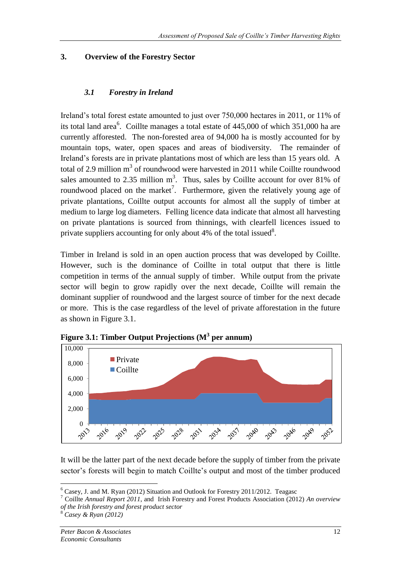## **3. Overview of the Forestry Sector**

## *3.1 Forestry in Ireland*

Ireland's total forest estate amounted to just over 750,000 hectares in 2011, or 11% of its total land area<sup>6</sup>. Coillte manages a total estate of  $445,000$  of which  $351,000$  ha are currently afforested. The non-forested area of 94,000 ha is mostly accounted for by mountain tops, water, open spaces and areas of biodiversity. The remainder of Ireland's forests are in private plantations most of which are less than 15 years old. A total of 2.9 million  $m^3$  of roundwood were harvested in 2011 while Coillte roundwood sales amounted to 2.35 million  $m^3$ . Thus, sales by Coillte account for over 81% of roundwood placed on the market<sup>7</sup>. Furthermore, given the relatively young age of private plantations, Coillte output accounts for almost all the supply of timber at medium to large log diameters. Felling licence data indicate that almost all harvesting on private plantations is sourced from thinnings, with clearfell licences issued to private suppliers accounting for only about 4% of the total issued $8$ .

Timber in Ireland is sold in an open auction process that was developed by Coillte. However, such is the dominance of Coillte in total output that there is little competition in terms of the annual supply of timber. While output from the private sector will begin to grow rapidly over the next decade, Coillte will remain the dominant supplier of roundwood and the largest source of timber for the next decade or more. This is the case regardless of the level of private afforestation in the future as shown in Figure 3.1.



**Figure 3.1: Timber Output Projections (M<sup>3</sup> per annum)**

It will be the latter part of the next decade before the supply of timber from the private sector's forests will begin to match Coillte's output and most of the timber produced

 $6$  Casey, J. and M. Ryan (2012) Situation and Outlook for Forestry 2011/2012. Teagasc

<sup>7</sup> Coillte *Annual Report 2011*, and Irish Forestry and Forest Products Association (2012) *An overview of the Irish forestry and forest product sector* 

<sup>8</sup> *Casey & Ryan (2012)*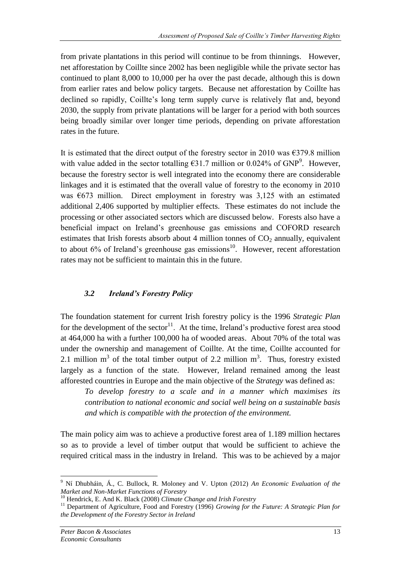from private plantations in this period will continue to be from thinnings. However, net afforestation by Coillte since 2002 has been negligible while the private sector has continued to plant 8,000 to 10,000 per ha over the past decade, although this is down from earlier rates and below policy targets. Because net afforestation by Coillte has declined so rapidly, Coillte's long term supply curve is relatively flat and, beyond 2030, the supply from private plantations will be larger for a period with both sources being broadly similar over longer time periods, depending on private afforestation rates in the future.

It is estimated that the direct output of the forestry sector in 2010 was  $\epsilon$ 379.8 million with value added in the sector totalling  $631.7$  million or 0.024% of GNP<sup>9</sup>. However, because the forestry sector is well integrated into the economy there are considerable linkages and it is estimated that the overall value of forestry to the economy in 2010 was  $\epsilon$ 673 million. Direct employment in forestry was 3,125 with an estimated additional 2,406 supported by multiplier effects. These estimates do not include the processing or other associated sectors which are discussed below. Forests also have a beneficial impact on Ireland's greenhouse gas emissions and COFORD research estimates that Irish forests absorb about 4 million tonnes of  $CO<sub>2</sub>$  annually, equivalent to about  $6\%$  of Ireland's greenhouse gas emissions<sup>10</sup>. However, recent afforestation rates may not be sufficient to maintain this in the future.

## *3.2 Ireland's Forestry Policy*

The foundation statement for current Irish forestry policy is the 1996 *Strategic Plan* for the development of the sector<sup>11</sup>. At the time, Ireland's productive forest area stood at 464,000 ha with a further 100,000 ha of wooded areas. About 70% of the total was under the ownership and management of Coillte. At the time, Coillte accounted for 2.1 million  $m<sup>3</sup>$  of the total timber output of 2.2 million  $m<sup>3</sup>$ . Thus, forestry existed largely as a function of the state. However, Ireland remained among the least afforested countries in Europe and the main objective of the *Strategy* was defined as:

*To develop forestry to a scale and in a manner which maximises its contribution to national economic and social well being on a sustainable basis and which is compatible with the protection of the environment.*

The main policy aim was to achieve a productive forest area of 1.189 million hectares so as to provide a level of timber output that would be sufficient to achieve the required critical mass in the industry in Ireland. This was to be achieved by a major

<u>.</u>

<sup>9</sup> Ní Dhubháin, Á., C. Bullock, R. Moloney and V. Upton (2012) *An Economic Evaluation of the Market and Non-Market Functions of Forestry*

<sup>10</sup> Hendrick, E. And K. Black (2008) *Climate Change and Irish Forestry*

<sup>&</sup>lt;sup>11</sup> Department of Agriculture, Food and Forestry (1996) *Growing for the Future: A Strategic Plan for the Development of the Forestry Sector in Ireland*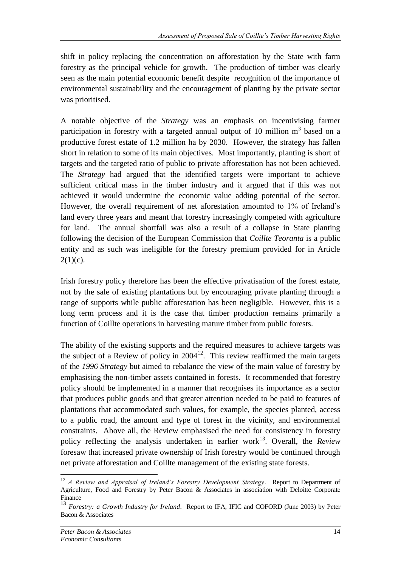shift in policy replacing the concentration on afforestation by the State with farm forestry as the principal vehicle for growth. The production of timber was clearly seen as the main potential economic benefit despite recognition of the importance of environmental sustainability and the encouragement of planting by the private sector was prioritised.

A notable objective of the *Strategy* was an emphasis on incentivising farmer participation in forestry with a targeted annual output of 10 million  $m<sup>3</sup>$  based on a productive forest estate of 1.2 million ha by 2030. However, the strategy has fallen short in relation to some of its main objectives. Most importantly, planting is short of targets and the targeted ratio of public to private afforestation has not been achieved. The *Strategy* had argued that the identified targets were important to achieve sufficient critical mass in the timber industry and it argued that if this was not achieved it would undermine the economic value adding potential of the sector. However, the overall requirement of net aforestation amounted to 1% of Ireland's land every three years and meant that forestry increasingly competed with agriculture for land. The annual shortfall was also a result of a collapse in State planting following the decision of the European Commission that *Coillte Teoranta* is a public entity and as such was ineligible for the forestry premium provided for in Article  $2(1)(c)$ .

Irish forestry policy therefore has been the effective privatisation of the forest estate, not by the sale of existing plantations but by encouraging private planting through a range of supports while public afforestation has been negligible. However, this is a long term process and it is the case that timber production remains primarily a function of Coillte operations in harvesting mature timber from public forests.

The ability of the existing supports and the required measures to achieve targets was the subject of a Review of policy in  $2004<sup>12</sup>$ . This review reaffirmed the main targets of the *1996 Strategy* but aimed to rebalance the view of the main value of forestry by emphasising the non-timber assets contained in forests. It recommended that forestry policy should be implemented in a manner that recognises its importance as a sector that produces public goods and that greater attention needed to be paid to features of plantations that accommodated such values, for example, the species planted, access to a public road, the amount and type of forest in the vicinity, and environmental constraints. Above all, the Review emphasised the need for consistency in forestry policy reflecting the analysis undertaken in earlier work<sup>13</sup>. Overall, the *Review* foresaw that increased private ownership of Irish forestry would be continued through net private afforestation and Coillte management of the existing state forests.

<sup>&</sup>lt;u>.</u> <sup>12</sup> *A Review and Appraisal of Ireland's Forestry Development Strategy*. Report to Department of Agriculture, Food and Forestry by Peter Bacon & Associates in association with Deloitte Corporate Finance

<sup>&</sup>lt;sup>13</sup> *Forestry: a Growth Industry for Ireland.* Report to IFA, IFIC and COFORD (June 2003) by Peter Bacon & Associates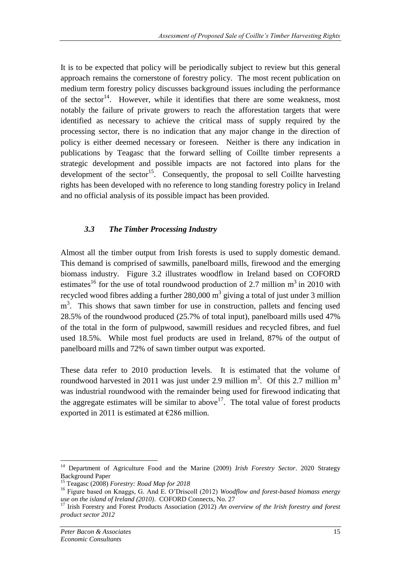It is to be expected that policy will be periodically subject to review but this general approach remains the cornerstone of forestry policy. The most recent publication on medium term forestry policy discusses background issues including the performance of the sector<sup>14</sup>. However, while it identifies that there are some weakness, most notably the failure of private growers to reach the afforestation targets that were identified as necessary to achieve the critical mass of supply required by the processing sector, there is no indication that any major change in the direction of policy is either deemed necessary or foreseen. Neither is there any indication in publications by Teagasc that the forward selling of Coillte timber represents a strategic development and possible impacts are not factored into plans for the development of the sector<sup>15</sup>. Consequently, the proposal to sell Coillte harvesting rights has been developed with no reference to long standing forestry policy in Ireland and no official analysis of its possible impact has been provided.

## *3.3 The Timber Processing Industry*

Almost all the timber output from Irish forests is used to supply domestic demand. This demand is comprised of sawmills, panelboard mills, firewood and the emerging biomass industry. Figure 3.2 illustrates woodflow in Ireland based on COFORD estimates<sup>16</sup> for the use of total roundwood production of 2.7 million  $m^3$  in 2010 with recycled wood fibres adding a further  $280,000 \text{ m}^3$  giving a total of just under 3 million m<sup>3</sup>. This shows that sawn timber for use in construction, pallets and fencing used 28.5% of the roundwood produced (25.7% of total input), panelboard mills used 47% of the total in the form of pulpwood, sawmill residues and recycled fibres, and fuel used 18.5%. While most fuel products are used in Ireland, 87% of the output of panelboard mills and 72% of sawn timber output was exported.

These data refer to 2010 production levels. It is estimated that the volume of roundwood harvested in 2011 was just under 2.9 million  $m^3$ . Of this 2.7 million  $m^3$ was industrial roundwood with the remainder being used for firewood indicating that the aggregate estimates will be similar to above  $17$ . The total value of forest products exported in 2011 is estimated at  $\epsilon$ 286 million.

<sup>14</sup> Department of Agriculture Food and the Marine (2009) *Irish Forestry Sector*. 2020 Strategy Background Paper

<sup>15</sup> Teagasc (2008) *Forestry: Road Map for 2018*

<sup>16</sup> Figure based on Knaggs, G. And E. O'Driscoll (2012) *Woodflow and forest-based biomass energy use on the island of Ireland (2010)*. COFORD Connects, No. 27

<sup>&</sup>lt;sup>17</sup> Irish Forestry and Forest Products Association (2012) *An overview of the Irish forestry and forest product sector 2012*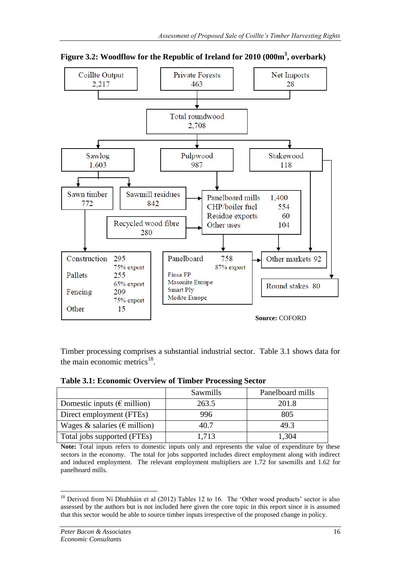

**Figure 3.2: Woodflow for the Republic of Ireland for 2010 (000m<sup>3</sup> , overbark)**

Timber processing comprises a substantial industrial sector. Table 3.1 shows data for the main economic metrics $^{18}$ .

| <b>Table 3.1: Economic Overview of Timber Processing Sector</b> |          |         |
|-----------------------------------------------------------------|----------|---------|
|                                                                 | Sawmills | Panelbo |

|                                        | Sawmills | Panelboard mills |
|----------------------------------------|----------|------------------|
| Domestic inputs ( $\epsilon$ million)  | 263.5    | 201.8            |
| Direct employment (FTEs)               | 996      | 805              |
| Wages & salaries ( $\epsilon$ million) | 40.7     | 49.3             |
| Total jobs supported (FTEs)            | 1,713    | 1,304            |

**Note:** Total inputs refers to domestic inputs only and represents the value of expenditure by these sectors in the economy. The total for jobs supported includes direct employment along with indirect and induced employment. The relevant employment multipliers are 1.72 for sawmills and 1.62 for panelboard mills.

<sup>&</sup>lt;u>.</u> <sup>18</sup> Derived from Ní Dhubháin et al (2012) Tables 12 to 16. The 'Other wood products' sector is also assessed by the authors but is not included here given the core topic in this report since it is assumed that this sector would be able to source timber inputs irrespective of the proposed change in policy.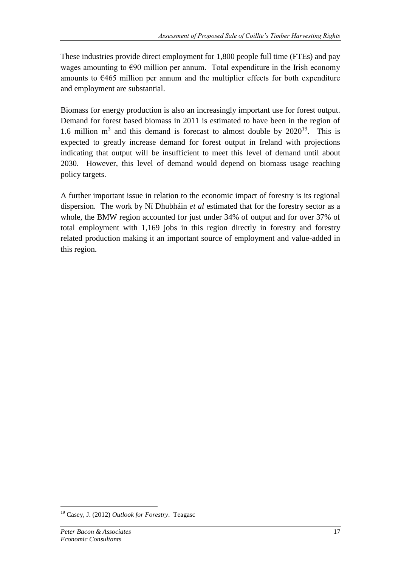These industries provide direct employment for 1,800 people full time (FTEs) and pay wages amounting to  $\epsilon$ 90 million per annum. Total expenditure in the Irish economy amounts to €465 million per annum and the multiplier effects for both expenditure and employment are substantial.

Biomass for energy production is also an increasingly important use for forest output. Demand for forest based biomass in 2011 is estimated to have been in the region of 1.6 million  $m<sup>3</sup>$  and this demand is forecast to almost double by 2020<sup>19</sup>. This is expected to greatly increase demand for forest output in Ireland with projections indicating that output will be insufficient to meet this level of demand until about 2030. However, this level of demand would depend on biomass usage reaching policy targets.

A further important issue in relation to the economic impact of forestry is its regional dispersion. The work by Ní Dhubháin *et al* estimated that for the forestry sector as a whole, the BMW region accounted for just under 34% of output and for over 37% of total employment with 1,169 jobs in this region directly in forestry and forestry related production making it an important source of employment and value-added in this region.

<sup>19</sup> Casey, J. (2012) *Outlook for Forestry*. Teagasc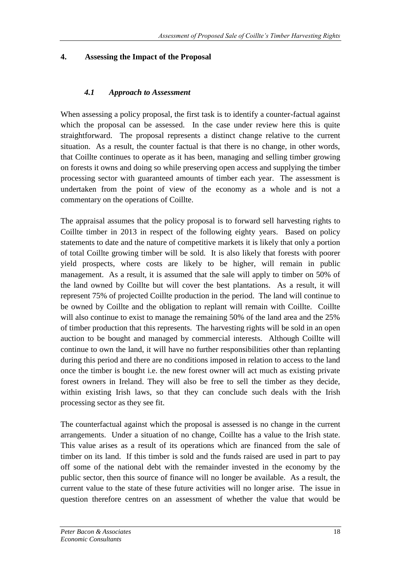## **4. Assessing the Impact of the Proposal**

## *4.1 Approach to Assessment*

When assessing a policy proposal, the first task is to identify a counter-factual against which the proposal can be assessed. In the case under review here this is quite straightforward. The proposal represents a distinct change relative to the current situation. As a result, the counter factual is that there is no change, in other words, that Coillte continues to operate as it has been, managing and selling timber growing on forests it owns and doing so while preserving open access and supplying the timber processing sector with guaranteed amounts of timber each year. The assessment is undertaken from the point of view of the economy as a whole and is not a commentary on the operations of Coillte.

The appraisal assumes that the policy proposal is to forward sell harvesting rights to Coillte timber in 2013 in respect of the following eighty years. Based on policy statements to date and the nature of competitive markets it is likely that only a portion of total Coillte growing timber will be sold. It is also likely that forests with poorer yield prospects, where costs are likely to be higher, will remain in public management. As a result, it is assumed that the sale will apply to timber on 50% of the land owned by Coillte but will cover the best plantations. As a result, it will represent 75% of projected Coillte production in the period. The land will continue to be owned by Coillte and the obligation to replant will remain with Coillte. Coillte will also continue to exist to manage the remaining 50% of the land area and the 25% of timber production that this represents. The harvesting rights will be sold in an open auction to be bought and managed by commercial interests. Although Coillte will continue to own the land, it will have no further responsibilities other than replanting during this period and there are no conditions imposed in relation to access to the land once the timber is bought i.e. the new forest owner will act much as existing private forest owners in Ireland. They will also be free to sell the timber as they decide, within existing Irish laws, so that they can conclude such deals with the Irish processing sector as they see fit.

The counterfactual against which the proposal is assessed is no change in the current arrangements. Under a situation of no change, Coillte has a value to the Irish state. This value arises as a result of its operations which are financed from the sale of timber on its land. If this timber is sold and the funds raised are used in part to pay off some of the national debt with the remainder invested in the economy by the public sector, then this source of finance will no longer be available. As a result, the current value to the state of these future activities will no longer arise. The issue in question therefore centres on an assessment of whether the value that would be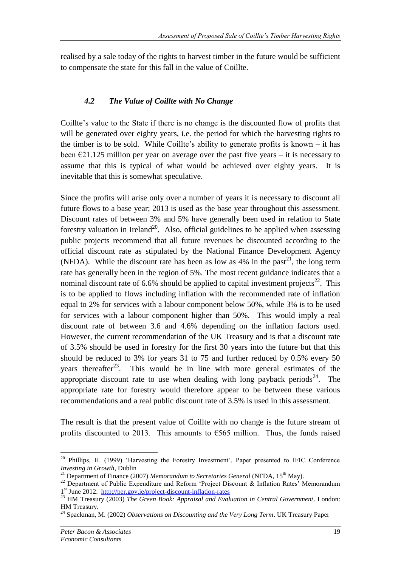realised by a sale today of the rights to harvest timber in the future would be sufficient to compensate the state for this fall in the value of Coillte.

## *4.2 The Value of Coillte with No Change*

Coillte's value to the State if there is no change is the discounted flow of profits that will be generated over eighty years, i.e. the period for which the harvesting rights to the timber is to be sold. While Coillte's ability to generate profits is known – it has been  $\epsilon$ 21.125 million per year on average over the past five years – it is necessary to assume that this is typical of what would be achieved over eighty years. It is inevitable that this is somewhat speculative.

Since the profits will arise only over a number of years it is necessary to discount all future flows to a base year; 2013 is used as the base year throughout this assessment. Discount rates of between 3% and 5% have generally been used in relation to State forestry valuation in Ireland<sup>20</sup>. Also, official guidelines to be applied when assessing public projects recommend that all future revenues be discounted according to the official discount rate as stipulated by the National Finance Development Agency (NFDA). While the discount rate has been as low as  $4\%$  in the past<sup>21</sup>, the long term rate has generally been in the region of 5%. The most recent guidance indicates that a nominal discount rate of  $6.6\%$  should be applied to capital investment projects<sup>22</sup>. This is to be applied to flows including inflation with the recommended rate of inflation equal to 2% for services with a labour component below 50%, while 3% is to be used for services with a labour component higher than 50%. This would imply a real discount rate of between 3.6 and 4.6% depending on the inflation factors used. However, the current recommendation of the UK Treasury and is that a discount rate of 3.5% should be used in forestry for the first 30 years into the future but that this should be reduced to 3% for years 31 to 75 and further reduced by 0.5% every 50 years thereafter<sup>23</sup>. This would be in line with more general estimates of the appropriate discount rate to use when dealing with long payback periods<sup>24</sup>. The appropriate rate for forestry would therefore appear to be between these various recommendations and a real public discount rate of 3.5% is used in this assessment.

The result is that the present value of Coillte with no change is the future stream of profits discounted to 2013. This amounts to  $\epsilon$ 565 million. Thus, the funds raised

<sup>1</sup> <sup>20</sup> Phillips, H. (1999) 'Harvesting the Forestry Investment'. Paper presented to IFIC Conference *Investing in Growth*, Dublin

<sup>&</sup>lt;sup>21</sup> Department of Finance (2007) *Memorandum to Secretaries General* (NFDA, 15<sup>th</sup> May).

<sup>&</sup>lt;sup>22</sup> Department of Public Expenditure and Reform 'Project Discount & Inflation Rates' Memorandum 1 st June 2012. <http://per.gov.ie/project-discount-inflation-rates>

<sup>&</sup>lt;sup>23</sup> HM Treasury (2003) *The Green Book: Appraisal and Evaluation in Central Government*. London: HM Treasury.

<sup>24</sup> Spackman, M. (2002) *Observations on Discounting and the Very Long Term*. UK Treasury Paper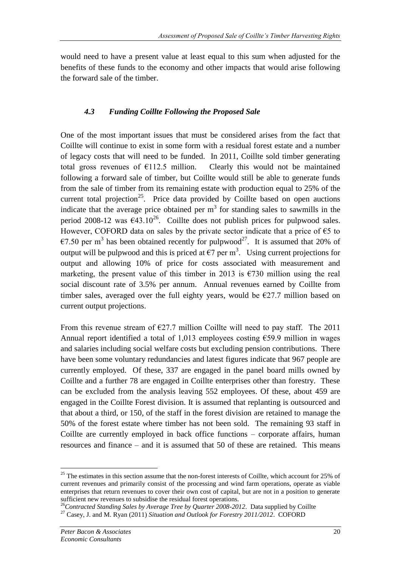would need to have a present value at least equal to this sum when adjusted for the benefits of these funds to the economy and other impacts that would arise following the forward sale of the timber.

#### *4.3 Funding Coillte Following the Proposed Sale*

One of the most important issues that must be considered arises from the fact that Coillte will continue to exist in some form with a residual forest estate and a number of legacy costs that will need to be funded. In 2011, Coillte sold timber generating total gross revenues of  $E112.5$  million. Clearly this would not be maintained following a forward sale of timber, but Coillte would still be able to generate funds from the sale of timber from its remaining estate with production equal to 25% of the current total projection<sup>25</sup>. Price data provided by Coillte based on open auctions indicate that the average price obtained per  $m<sup>3</sup>$  for standing sales to sawmills in the period 2008-12 was  $\epsilon$ 43.10<sup>26</sup>. Coillte does not publish prices for pulpwood sales. However, COFORD data on sales by the private sector indicate that a price of  $\epsilon$ 5 to €7.50 per m<sup>3</sup> has been obtained recently for pulpwood<sup>27</sup>. It is assumed that 20% of output will be pulpwood and this is priced at  $\epsilon$ 7 per m<sup>3</sup>. Using current projections for output and allowing 10% of price for costs associated with measurement and marketing, the present value of this timber in 2013 is  $\epsilon$ 730 million using the real social discount rate of 3.5% per annum. Annual revenues earned by Coillte from timber sales, averaged over the full eighty years, would be  $\epsilon$ 27.7 million based on current output projections.

From this revenue stream of  $\epsilon$ 27.7 million Coillte will need to pay staff. The 2011 Annual report identified a total of 1,013 employees costing €59.9 million in wages and salaries including social welfare costs but excluding pension contributions. There have been some voluntary redundancies and latest figures indicate that 967 people are currently employed. Of these, 337 are engaged in the panel board mills owned by Coillte and a further 78 are engaged in Coillte enterprises other than forestry. These can be excluded from the analysis leaving 552 employees. Of these, about 459 are engaged in the Coillte Forest division. It is assumed that replanting is outsourced and that about a third, or 150, of the staff in the forest division are retained to manage the 50% of the forest estate where timber has not been sold. The remaining 93 staff in Coillte are currently employed in back office functions – corporate affairs, human resources and finance – and it is assumed that 50 of these are retained. This means

<sup>1</sup>  $25$  The estimates in this section assume that the non-forest interests of Coillte, which account for 25% of current revenues and primarily consist of the processing and wind farm operations, operate as viable enterprises that return revenues to cover their own cost of capital, but are not in a position to generate sufficient new revenues to subsidise the residual forest operations.

<sup>&</sup>lt;sup>26</sup>Contracted Standing Sales by Average Tree by Quarter 2008-2012. Data supplied by Coillte

<sup>27</sup> Casey, J. and M. Ryan (2011) *Situation and Outlook for Forestry 2011/2012*. COFORD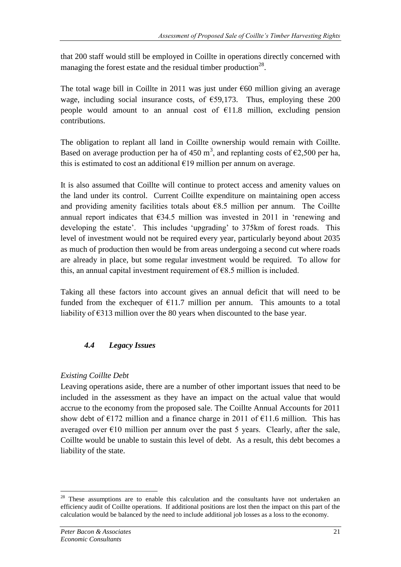that 200 staff would still be employed in Coillte in operations directly concerned with managing the forest estate and the residual timber production<sup>28</sup>.

The total wage bill in Coillte in 2011 was just under  $\epsilon$ 60 million giving an average wage, including social insurance costs, of  $\epsilon$ 59,173. Thus, employing these 200 people would amount to an annual cost of  $E11.8$  million, excluding pension contributions.

The obligation to replant all land in Coillte ownership would remain with Coillte. Based on average production per ha of 450 m<sup>3</sup>, and replanting costs of  $\epsilon$ 2,500 per ha, this is estimated to cost an additional  $E19$  million per annum on average.

It is also assumed that Coillte will continue to protect access and amenity values on the land under its control. Current Coillte expenditure on maintaining open access and providing amenity facilities totals about  $68.5$  million per annum. The Coillte annual report indicates that  $634.5$  million was invested in 2011 in 'renewing and developing the estate'. This includes 'upgrading' to 375km of forest roads. This level of investment would not be required every year, particularly beyond about 2035 as much of production then would be from areas undergoing a second cut where roads are already in place, but some regular investment would be required. To allow for this, an annual capital investment requirement of  $68.5$  million is included.

Taking all these factors into account gives an annual deficit that will need to be funded from the exchequer of  $E11.7$  million per annum. This amounts to a total liability of €313 million over the 80 years when discounted to the base year.

## *4.4 Legacy Issues*

## *Existing Coillte Debt*

Leaving operations aside, there are a number of other important issues that need to be included in the assessment as they have an impact on the actual value that would accrue to the economy from the proposed sale. The Coillte Annual Accounts for 2011 show debt of  $\epsilon$ 172 million and a finance charge in 2011 of  $\epsilon$ 11.6 million. This has averaged over  $E10$  million per annum over the past 5 years. Clearly, after the sale, Coillte would be unable to sustain this level of debt. As a result, this debt becomes a liability of the state.

<u>.</u>

<sup>&</sup>lt;sup>28</sup> These assumptions are to enable this calculation and the consultants have not undertaken an efficiency audit of Coillte operations. If additional positions are lost then the impact on this part of the calculation would be balanced by the need to include additional job losses as a loss to the economy.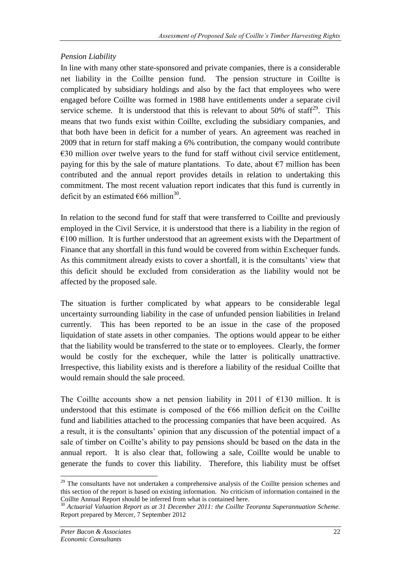## *Pension Liability*

In line with many other state-sponsored and private companies, there is a considerable net liability in the Coillte pension fund. The pension structure in Coillte is complicated by subsidiary holdings and also by the fact that employees who were engaged before Coillte was formed in 1988 have entitlements under a separate civil service scheme. It is understood that this is relevant to about 50% of staff<sup>29</sup>. This means that two funds exist within Coillte, excluding the subsidiary companies, and that both have been in deficit for a number of years. An agreement was reached in 2009 that in return for staff making a 6% contribution, the company would contribute  $€30$  million over twelve years to the fund for staff without civil service entitlement, paying for this by the sale of mature plantations. To date, about  $\epsilon$ 7 million has been contributed and the annual report provides details in relation to undertaking this commitment. The most recent valuation report indicates that this fund is currently in deficit by an estimated  $\epsilon$ 66 million<sup>30</sup>.

In relation to the second fund for staff that were transferred to Coillte and previously employed in the Civil Service, it is understood that there is a liability in the region of  $€100$  million. It is further understood that an agreement exists with the Department of Finance that any shortfall in this fund would be covered from within Exchequer funds. As this commitment already exists to cover a shortfall, it is the consultants' view that this deficit should be excluded from consideration as the liability would not be affected by the proposed sale.

The situation is further complicated by what appears to be considerable legal uncertainty surrounding liability in the case of unfunded pension liabilities in Ireland currently. This has been reported to be an issue in the case of the proposed liquidation of state assets in other companies. The options would appear to be either that the liability would be transferred to the state or to employees. Clearly, the former would be costly for the exchequer, while the latter is politically unattractive. Irrespective, this liability exists and is therefore a liability of the residual Coillte that would remain should the sale proceed.

The Coillte accounts show a net pension liability in 2011 of  $E$ 130 million. It is understood that this estimate is composed of the  $666$  million deficit on the Coillte fund and liabilities attached to the processing companies that have been acquired. As a result, it is the consultants' opinion that any discussion of the potential impact of a sale of timber on Coillte's ability to pay pensions should be based on the data in the annual report. It is also clear that, following a sale, Coillte would be unable to generate the funds to cover this liability. Therefore, this liability must be offset

<u>.</u>

<sup>&</sup>lt;sup>29</sup> The consultants have not undertaken a comprehensive analysis of the Coillte pension schemes and this section of the report is based on existing information. No criticism of information contained in the Coillte Annual Report should be inferred from what is contained here.

<sup>30</sup> *Actuarial Valuation Report as at 31 December 2011: the Coillte Teoranta Superannuation Scheme.*  Report prepared by Mercer, 7 September 2012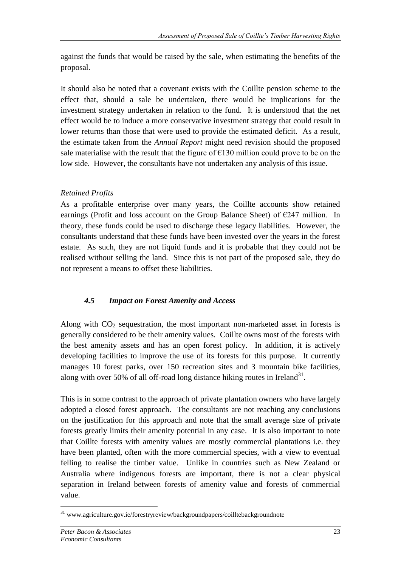against the funds that would be raised by the sale, when estimating the benefits of the proposal.

It should also be noted that a covenant exists with the Coillte pension scheme to the effect that, should a sale be undertaken, there would be implications for the investment strategy undertaken in relation to the fund. It is understood that the net effect would be to induce a more conservative investment strategy that could result in lower returns than those that were used to provide the estimated deficit. As a result, the estimate taken from the *Annual Report* might need revision should the proposed sale materialise with the result that the figure of  $\epsilon$ 130 million could prove to be on the low side. However, the consultants have not undertaken any analysis of this issue.

## *Retained Profits*

As a profitable enterprise over many years, the Coillte accounts show retained earnings (Profit and loss account on the Group Balance Sheet) of  $E$ 247 million. In theory, these funds could be used to discharge these legacy liabilities. However, the consultants understand that these funds have been invested over the years in the forest estate. As such, they are not liquid funds and it is probable that they could not be realised without selling the land. Since this is not part of the proposed sale, they do not represent a means to offset these liabilities.

## *4.5 Impact on Forest Amenity and Access*

Along with  $CO<sub>2</sub>$  sequestration, the most important non-marketed asset in forests is generally considered to be their amenity values. Coillte owns most of the forests with the best amenity assets and has an open forest policy. In addition, it is actively developing facilities to improve the use of its forests for this purpose. It currently manages 10 forest parks, over 150 recreation sites and 3 mountain bike facilities, along with over 50% of all off-road long distance hiking routes in Ireland<sup>31</sup>.

This is in some contrast to the approach of private plantation owners who have largely adopted a closed forest approach. The consultants are not reaching any conclusions on the justification for this approach and note that the small average size of private forests greatly limits their amenity potential in any case. It is also important to note that Coillte forests with amenity values are mostly commercial plantations i.e. they have been planted, often with the more commercial species, with a view to eventual felling to realise the timber value. Unlike in countries such as New Zealand or Australia where indigenous forests are important, there is not a clear physical separation in Ireland between forests of amenity value and forests of commercial value.

<sup>1</sup> <sup>31</sup> www.agriculture.gov.ie/forestryreview/backgroundpapers/coilltebackgroundnote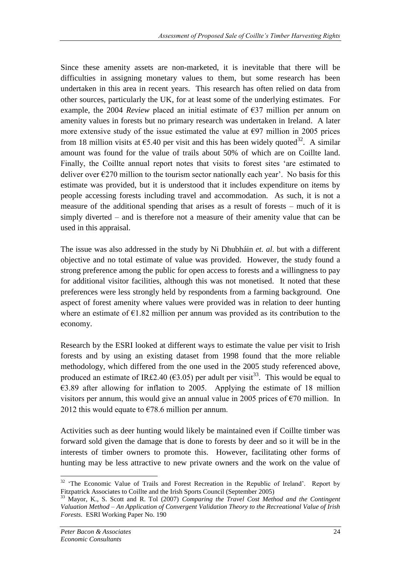Since these amenity assets are non-marketed, it is inevitable that there will be difficulties in assigning monetary values to them, but some research has been undertaken in this area in recent years. This research has often relied on data from other sources, particularly the UK, for at least some of the underlying estimates. For example, the 2004 *Review* placed an initial estimate of  $\epsilon$ 37 million per annum on amenity values in forests but no primary research was undertaken in Ireland. A later more extensive study of the issue estimated the value at  $\epsilon$ 97 million in 2005 prices from 18 million visits at  $65.40$  per visit and this has been widely quoted<sup>32</sup>. A similar amount was found for the value of trails about 50% of which are on Coillte land. Finally, the Coillte annual report notes that visits to forest sites 'are estimated to deliver over  $\epsilon$ 270 million to the tourism sector nationally each year'. No basis for this estimate was provided, but it is understood that it includes expenditure on items by people accessing forests including travel and accommodation. As such, it is not a measure of the additional spending that arises as a result of forests – much of it is simply diverted – and is therefore not a measure of their amenity value that can be used in this appraisal.

The issue was also addressed in the study by Ni Dhubháin *et. al.* but with a different objective and no total estimate of value was provided. However, the study found a strong preference among the public for open access to forests and a willingness to pay for additional visitor facilities, although this was not monetised. It noted that these preferences were less strongly held by respondents from a farming background. One aspect of forest amenity where values were provided was in relation to deer hunting where an estimate of  $E1.82$  million per annum was provided as its contribution to the economy.

Research by the ESRI looked at different ways to estimate the value per visit to Irish forests and by using an existing dataset from 1998 found that the more reliable methodology, which differed from the one used in the 2005 study referenced above, produced an estimate of IR£2.40 ( $\epsilon$ 3.05) per adult per visit<sup>33</sup>. This would be equal to  $\epsilon$ 3.89 after allowing for inflation to 2005. Applying the estimate of 18 million visitors per annum, this would give an annual value in 2005 prices of  $\epsilon$ 70 million. In 2012 this would equate to  $\epsilon$ 78.6 million per annum.

Activities such as deer hunting would likely be maintained even if Coillte timber was forward sold given the damage that is done to forests by deer and so it will be in the interests of timber owners to promote this. However, facilitating other forms of hunting may be less attractive to new private owners and the work on the value of

<sup>&</sup>lt;u>.</u>  $32$  'The Economic Value of Trails and Forest Recreation in the Republic of Ireland'. Report by Fitzpatrick Associates to Coillte and the Irish Sports Council (September 2005)

<sup>33</sup> Mayor, K., S. Scott and R. Tol (2007) *Comparing the Travel Cost Method and the Contingent Valuation Method – An Application of Convergent Validation Theory to the Recreational Value of Irish Forests*. ESRI Working Paper No. 190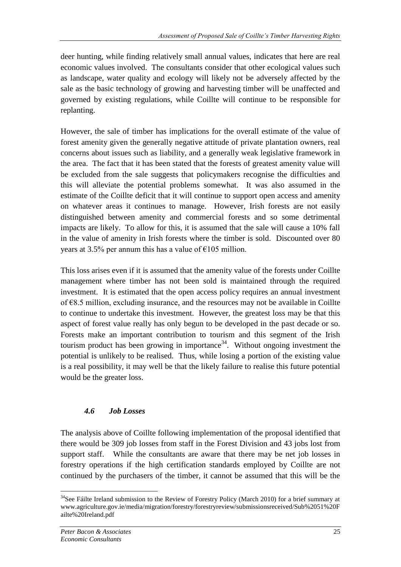deer hunting, while finding relatively small annual values, indicates that here are real economic values involved. The consultants consider that other ecological values such as landscape, water quality and ecology will likely not be adversely affected by the sale as the basic technology of growing and harvesting timber will be unaffected and governed by existing regulations, while Coillte will continue to be responsible for replanting.

However, the sale of timber has implications for the overall estimate of the value of forest amenity given the generally negative attitude of private plantation owners, real concerns about issues such as liability, and a generally weak legislative framework in the area. The fact that it has been stated that the forests of greatest amenity value will be excluded from the sale suggests that policymakers recognise the difficulties and this will alleviate the potential problems somewhat. It was also assumed in the estimate of the Coillte deficit that it will continue to support open access and amenity on whatever areas it continues to manage. However, Irish forests are not easily distinguished between amenity and commercial forests and so some detrimental impacts are likely. To allow for this, it is assumed that the sale will cause a 10% fall in the value of amenity in Irish forests where the timber is sold. Discounted over 80 years at 3.5% per annum this has a value of  $\epsilon$ 105 million.

This loss arises even if it is assumed that the amenity value of the forests under Coillte management where timber has not been sold is maintained through the required investment. It is estimated that the open access policy requires an annual investment of €8.5 million, excluding insurance, and the resources may not be available in Coillte to continue to undertake this investment. However, the greatest loss may be that this aspect of forest value really has only begun to be developed in the past decade or so. Forests make an important contribution to tourism and this segment of the Irish tourism product has been growing in importance<sup>34</sup>. Without ongoing investment the potential is unlikely to be realised. Thus, while losing a portion of the existing value is a real possibility, it may well be that the likely failure to realise this future potential would be the greater loss.

# *4.6 Job Losses*

The analysis above of Coillte following implementation of the proposal identified that there would be 309 job losses from staff in the Forest Division and 43 jobs lost from support staff. While the consultants are aware that there may be net job losses in forestry operations if the high certification standards employed by Coillte are not continued by the purchasers of the timber, it cannot be assumed that this will be the

<sup>&</sup>lt;u>.</u>  $34$ See Fáilte Ireland submission to the Review of Forestry Policy (March 2010) for a brief summary at www.agriculture.gov.ie/media/migration/forestry/forestryreview/submissionsreceived/Sub%2051%20F ailte%20Ireland.pdf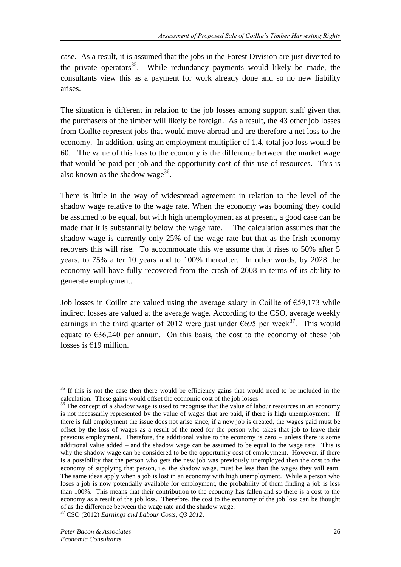case. As a result, it is assumed that the jobs in the Forest Division are just diverted to the private operators<sup>35</sup>. While redundancy payments would likely be made, the consultants view this as a payment for work already done and so no new liability arises.

The situation is different in relation to the job losses among support staff given that the purchasers of the timber will likely be foreign. As a result, the 43 other job losses from Coillte represent jobs that would move abroad and are therefore a net loss to the economy. In addition, using an employment multiplier of 1.4, total job loss would be 60. The value of this loss to the economy is the difference between the market wage that would be paid per job and the opportunity cost of this use of resources. This is also known as the shadow wage $^{36}$ .

There is little in the way of widespread agreement in relation to the level of the shadow wage relative to the wage rate. When the economy was booming they could be assumed to be equal, but with high unemployment as at present, a good case can be made that it is substantially below the wage rate. The calculation assumes that the shadow wage is currently only 25% of the wage rate but that as the Irish economy recovers this will rise. To accommodate this we assume that it rises to 50% after 5 years, to 75% after 10 years and to 100% thereafter. In other words, by 2028 the economy will have fully recovered from the crash of 2008 in terms of its ability to generate employment.

Job losses in Coillte are valued using the average salary in Coillte of  $\epsilon$ 59,173 while indirect losses are valued at the average wage. According to the CSO, average weekly earnings in the third quarter of 2012 were just under  $\epsilon$ 695 per week<sup>37</sup>. This would equate to  $\epsilon$ 36,240 per annum. On this basis, the cost to the economy of these job losses is  $€19$  million.

<sup>&</sup>lt;sup>35</sup> If this is not the case then there would be efficiency gains that would need to be included in the calculation. These gains would offset the economic cost of the job losses.

<sup>&</sup>lt;sup>36</sup> The concept of a shadow wage is used to recognise that the value of labour resources in an economy is not necessarily represented by the value of wages that are paid, if there is high unemployment. If there is full employment the issue does not arise since, if a new job is created, the wages paid must be offset by the loss of wages as a result of the need for the person who takes that job to leave their previous employment. Therefore, the additional value to the economy is zero – unless there is some additional value added – and the shadow wage can be assumed to be equal to the wage rate. This is why the shadow wage can be considered to be the opportunity cost of employment. However, if there is a possibility that the person who gets the new job was previously unemployed then the cost to the economy of supplying that person, i.e. the shadow wage, must be less than the wages they will earn. The same ideas apply when a job is lost in an economy with high unemployment. While a person who loses a job is now potentially available for employment, the probability of them finding a job is less than 100%. This means that their contribution to the economy has fallen and so there is a cost to the economy as a result of the job loss. Therefore, the cost to the economy of the job loss can be thought of as the difference between the wage rate and the shadow wage.

<sup>37</sup> CSO (2012) *Earnings and Labour Costs, Q3 2012*.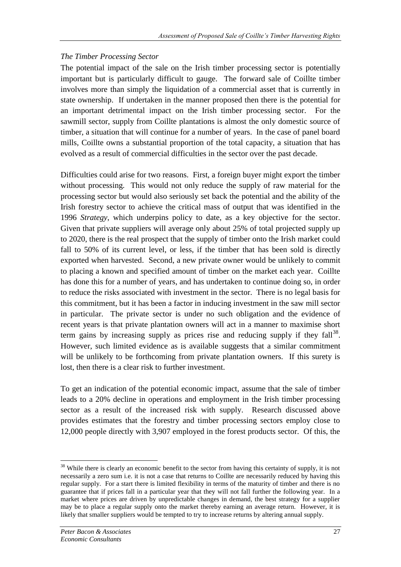## *The Timber Processing Sector*

The potential impact of the sale on the Irish timber processing sector is potentially important but is particularly difficult to gauge. The forward sale of Coillte timber involves more than simply the liquidation of a commercial asset that is currently in state ownership. If undertaken in the manner proposed then there is the potential for an important detrimental impact on the Irish timber processing sector. For the sawmill sector, supply from Coillte plantations is almost the only domestic source of timber, a situation that will continue for a number of years. In the case of panel board mills, Coillte owns a substantial proportion of the total capacity, a situation that has evolved as a result of commercial difficulties in the sector over the past decade.

Difficulties could arise for two reasons. First, a foreign buyer might export the timber without processing. This would not only reduce the supply of raw material for the processing sector but would also seriously set back the potential and the ability of the Irish forestry sector to achieve the critical mass of output that was identified in the 1996 *Strategy*, which underpins policy to date, as a key objective for the sector. Given that private suppliers will average only about 25% of total projected supply up to 2020, there is the real prospect that the supply of timber onto the Irish market could fall to 50% of its current level, or less, if the timber that has been sold is directly exported when harvested. Second, a new private owner would be unlikely to commit to placing a known and specified amount of timber on the market each year. Coillte has done this for a number of years, and has undertaken to continue doing so, in order to reduce the risks associated with investment in the sector. There is no legal basis for this commitment, but it has been a factor in inducing investment in the saw mill sector in particular. The private sector is under no such obligation and the evidence of recent years is that private plantation owners will act in a manner to maximise short term gains by increasing supply as prices rise and reducing supply if they  $fall^{38}$ . However, such limited evidence as is available suggests that a similar commitment will be unlikely to be forthcoming from private plantation owners. If this surety is lost, then there is a clear risk to further investment.

To get an indication of the potential economic impact, assume that the sale of timber leads to a 20% decline in operations and employment in the Irish timber processing sector as a result of the increased risk with supply. Research discussed above provides estimates that the forestry and timber processing sectors employ close to 12,000 people directly with 3,907 employed in the forest products sector. Of this, the

<sup>&</sup>lt;sup>38</sup> While there is clearly an economic benefit to the sector from having this certainty of supply, it is not necessarily a zero sum i.e. it is not a case that returns to Coillte are necessarily reduced by having this regular supply. For a start there is limited flexibility in terms of the maturity of timber and there is no guarantee that if prices fall in a particular year that they will not fall further the following year. In a market where prices are driven by unpredictable changes in demand, the best strategy for a supplier may be to place a regular supply onto the market thereby earning an average return. However, it is likely that smaller suppliers would be tempted to try to increase returns by altering annual supply.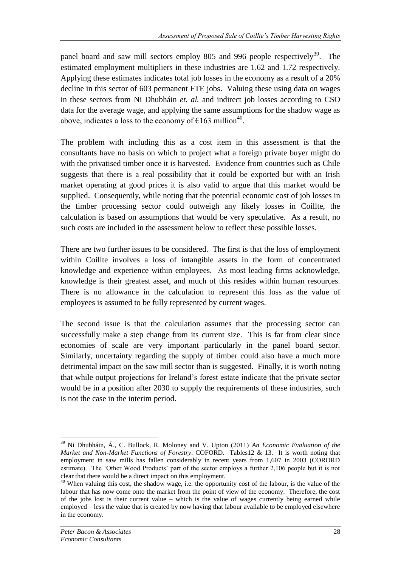panel board and saw mill sectors employ 805 and 996 people respectively<sup>39</sup>. The estimated employment multipliers in these industries are 1.62 and 1.72 respectively. Applying these estimates indicates total job losses in the economy as a result of a 20% decline in this sector of 603 permanent FTE jobs. Valuing these using data on wages in these sectors from Ni Dhubháin *et. al.* and indirect job losses according to CSO data for the average wage, and applying the same assumptions for the shadow wage as above, indicates a loss to the economy of  $\epsilon$ 163 million<sup>40</sup>.

The problem with including this as a cost item in this assessment is that the consultants have no basis on which to project what a foreign private buyer might do with the privatised timber once it is harvested. Evidence from countries such as Chile suggests that there is a real possibility that it could be exported but with an Irish market operating at good prices it is also valid to argue that this market would be supplied. Consequently, while noting that the potential economic cost of job losses in the timber processing sector could outweigh any likely losses in Coillte, the calculation is based on assumptions that would be very speculative. As a result, no such costs are included in the assessment below to reflect these possible losses.

There are two further issues to be considered. The first is that the loss of employment within Coillte involves a loss of intangible assets in the form of concentrated knowledge and experience within employees. As most leading firms acknowledge, knowledge is their greatest asset, and much of this resides within human resources. There is no allowance in the calculation to represent this loss as the value of employees is assumed to be fully represented by current wages.

The second issue is that the calculation assumes that the processing sector can successfully make a step change from its current size. This is far from clear since economies of scale are very important particularly in the panel board sector. Similarly, uncertainty regarding the supply of timber could also have a much more detrimental impact on the saw mill sector than is suggested. Finally, it is worth noting that while output projections for Ireland's forest estate indicate that the private sector would be in a position after 2030 to supply the requirements of these industries, such is not the case in the interim period.

<sup>39</sup> Ni Dhubháin, Á., C. Bullock, R. Moloney and V. Upton (2011) *An Economic Evaluation of the Market and Non-Market Functions of Forestry*. COFORD. Tables12 & 13. It is worth noting that employment in saw mills has fallen considerably in recent years from 1,607 in 2003 (CORORD estimate). The 'Other Wood Products' part of the sector employs a further 2,106 people but it is not clear that there would be a direct impact on this employment.

<sup>&</sup>lt;sup>40</sup> When valuing this cost, the shadow wage, i.e. the opportunity cost of the labour, is the value of the labour that has now come onto the market from the point of view of the economy. Therefore, the cost of the jobs lost is their current value – which is the value of wages currently being earned while employed – less the value that is created by now having that labour available to be employed elsewhere in the economy.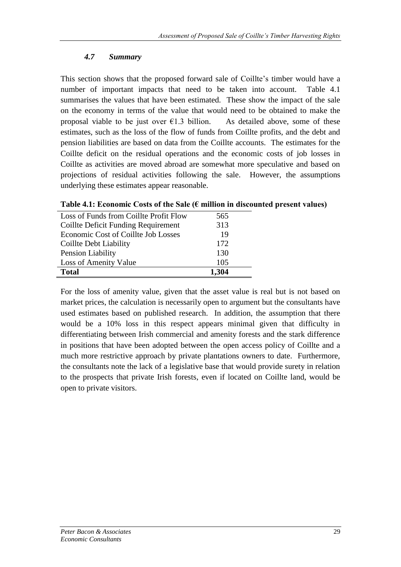## *4.7 Summary*

This section shows that the proposed forward sale of Coillte's timber would have a number of important impacts that need to be taken into account. Table 4.1 summarises the values that have been estimated. These show the impact of the sale on the economy in terms of the value that would need to be obtained to make the proposal viable to be just over  $\epsilon$ 1.3 billion. As detailed above, some of these estimates, such as the loss of the flow of funds from Coillte profits, and the debt and pension liabilities are based on data from the Coillte accounts. The estimates for the Coillte deficit on the residual operations and the economic costs of job losses in Coillte as activities are moved abroad are somewhat more speculative and based on projections of residual activities following the sale. However, the assumptions underlying these estimates appear reasonable.

| Loss of Funds from Coillte Profit Flow | 565   |
|----------------------------------------|-------|
| Coillte Deficit Funding Requirement    | 313   |
| Economic Cost of Coillte Job Losses    | 19    |
| Coillte Debt Liability                 | 172   |
| Pension Liability                      | 130   |
| Loss of Amenity Value                  | 105   |
| <b>Total</b>                           | 1,304 |

**Table 4.1: Economic Costs of the Sale (€ million in discounted present values)**

For the loss of amenity value, given that the asset value is real but is not based on market prices, the calculation is necessarily open to argument but the consultants have used estimates based on published research. In addition, the assumption that there would be a 10% loss in this respect appears minimal given that difficulty in differentiating between Irish commercial and amenity forests and the stark difference in positions that have been adopted between the open access policy of Coillte and a much more restrictive approach by private plantations owners to date. Furthermore, the consultants note the lack of a legislative base that would provide surety in relation to the prospects that private Irish forests, even if located on Coillte land, would be open to private visitors.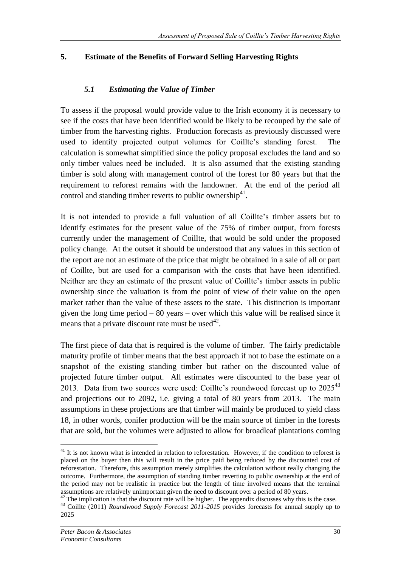## **5. Estimate of the Benefits of Forward Selling Harvesting Rights**

## *5.1 Estimating the Value of Timber*

To assess if the proposal would provide value to the Irish economy it is necessary to see if the costs that have been identified would be likely to be recouped by the sale of timber from the harvesting rights. Production forecasts as previously discussed were used to identify projected output volumes for Coillte's standing forest. The calculation is somewhat simplified since the policy proposal excludes the land and so only timber values need be included. It is also assumed that the existing standing timber is sold along with management control of the forest for 80 years but that the requirement to reforest remains with the landowner. At the end of the period all control and standing timber reverts to public ownership<sup>41</sup>.

It is not intended to provide a full valuation of all Coillte's timber assets but to identify estimates for the present value of the 75% of timber output, from forests currently under the management of Coillte, that would be sold under the proposed policy change. At the outset it should be understood that any values in this section of the report are not an estimate of the price that might be obtained in a sale of all or part of Coillte, but are used for a comparison with the costs that have been identified. Neither are they an estimate of the present value of Coillte's timber assets in public ownership since the valuation is from the point of view of their value on the open market rather than the value of these assets to the state. This distinction is important given the long time period – 80 years – over which this value will be realised since it means that a private discount rate must be used<sup>42</sup>.

The first piece of data that is required is the volume of timber. The fairly predictable maturity profile of timber means that the best approach if not to base the estimate on a snapshot of the existing standing timber but rather on the discounted value of projected future timber output. All estimates were discounted to the base year of 2013. Data from two sources were used: Coillte's roundwood forecast up to  $2025^{43}$ and projections out to 2092, i.e. giving a total of 80 years from 2013. The main assumptions in these projections are that timber will mainly be produced to yield class 18, in other words, conifer production will be the main source of timber in the forests that are sold, but the volumes were adjusted to allow for broadleaf plantations coming

<sup>&</sup>lt;u>.</u>  $41$  It is not known what is intended in relation to reforestation. However, if the condition to reforest is placed on the buyer then this will result in the price paid being reduced by the discounted cost of reforestation. Therefore, this assumption merely simplifies the calculation without really changing the outcome. Furthermore, the assumption of standing timber reverting to public ownership at the end of the period may not be realistic in practice but the length of time involved means that the terminal assumptions are relatively unimportant given the need to discount over a period of 80 years.

 $42$  The implication is that the discount rate will be higher. The appendix discusses why this is the case.

<sup>43</sup> Coillte (2011) *Roundwood Supply Forecast 2011-2015* provides forecasts for annual supply up to 2025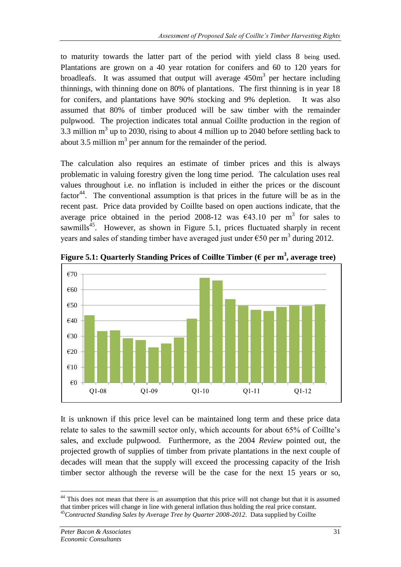to maturity towards the latter part of the period with yield class 8 being used. Plantations are grown on a 40 year rotation for conifers and 60 to 120 years for broadleafs. It was assumed that output will average  $450m<sup>3</sup>$  per hectare including thinnings, with thinning done on 80% of plantations. The first thinning is in year 18 for conifers, and plantations have 90% stocking and 9% depletion. It was also assumed that 80% of timber produced will be saw timber with the remainder pulpwood. The projection indicates total annual Coillte production in the region of 3.3 million  $m<sup>3</sup>$  up to 2030, rising to about 4 million up to 2040 before settling back to about 3.5 million  $m<sup>3</sup>$  per annum for the remainder of the period.

The calculation also requires an estimate of timber prices and this is always problematic in valuing forestry given the long time period. The calculation uses real values throughout i.e. no inflation is included in either the prices or the discount factor<sup>44</sup>. The conventional assumption is that prices in the future will be as in the recent past. Price data provided by Coillte based on open auctions indicate, that the average price obtained in the period 2008-12 was  $\epsilon$ 43.10 per m<sup>3</sup> for sales to sawmills<sup>45</sup>. However, as shown in Figure 5.1, prices fluctuated sharply in recent years and sales of standing timber have averaged just under  $\epsilon$ 50 per m<sup>3</sup> during 2012.



**Figure 5.1: Quarterly Standing Prices of Coillte Timber (€ per m 3 , average tree)**

It is unknown if this price level can be maintained long term and these price data relate to sales to the sawmill sector only, which accounts for about 65% of Coillte's sales, and exclude pulpwood. Furthermore, as the 2004 *Review* pointed out, the projected growth of supplies of timber from private plantations in the next couple of decades will mean that the supply will exceed the processing capacity of the Irish timber sector although the reverse will be the case for the next 15 years or so,

<sup>&</sup>lt;u>.</u> <sup>44</sup> This does not mean that there is an assumption that this price will not change but that it is assumed that timber prices will change in line with general inflation thus holding the real price constant. <sup>45</sup>*Contracted Standing Sales by Average Tree by Quarter 2008-2012*. Data supplied by Coillte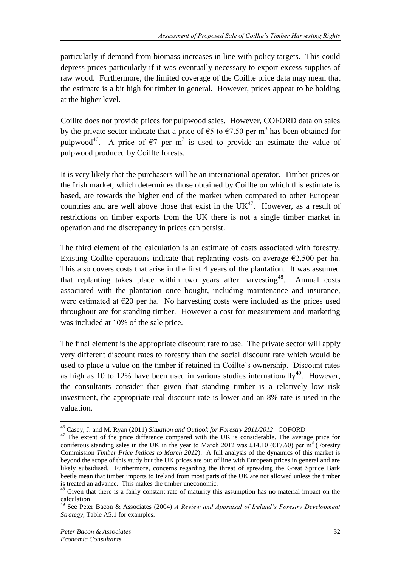particularly if demand from biomass increases in line with policy targets. This could depress prices particularly if it was eventually necessary to export excess supplies of raw wood. Furthermore, the limited coverage of the Coillte price data may mean that the estimate is a bit high for timber in general. However, prices appear to be holding at the higher level.

Coillte does not provide prices for pulpwood sales. However, COFORD data on sales by the private sector indicate that a price of  $\epsilon$ 5 to  $\epsilon$ 7.50 per m<sup>3</sup> has been obtained for pulpwood<sup>46</sup>. A price of  $\epsilon$ 7 per m<sup>3</sup> is used to provide an estimate the value of pulpwood produced by Coillte forests.

It is very likely that the purchasers will be an international operator. Timber prices on the Irish market, which determines those obtained by Coillte on which this estimate is based, are towards the higher end of the market when compared to other European countries and are well above those that exist in the  $UK<sup>47</sup>$ . However, as a result of restrictions on timber exports from the UK there is not a single timber market in operation and the discrepancy in prices can persist.

The third element of the calculation is an estimate of costs associated with forestry. Existing Coillte operations indicate that replanting costs on average  $\epsilon$ 2,500 per ha. This also covers costs that arise in the first 4 years of the plantation. It was assumed that replanting takes place within two years after harvesting<sup>48</sup>. Annual costs associated with the plantation once bought, including maintenance and insurance, were estimated at  $\epsilon$ 20 per ha. No harvesting costs were included as the prices used throughout are for standing timber. However a cost for measurement and marketing was included at 10% of the sale price.

The final element is the appropriate discount rate to use. The private sector will apply very different discount rates to forestry than the social discount rate which would be used to place a value on the timber if retained in Coillte's ownership. Discount rates as high as 10 to 12% have been used in various studies internationally<sup>49</sup>. However, the consultants consider that given that standing timber is a relatively low risk investment, the appropriate real discount rate is lower and an 8% rate is used in the valuation.

<u>.</u>

<sup>46</sup> Casey, J. and M. Ryan (2011) *Situation and Outlook for Forestry 2011/2012*. COFORD

<sup>&</sup>lt;sup>47</sup> The extent of the price difference compared with the UK is considerable. The average price for coniferous standing sales in the UK in the year to March 2012 was £14.10 ( $\epsilon$ 17.60) per m<sup>3</sup> (Forestry Commission *Timber Price Indices to March 2012*). A full analysis of the dynamics of this market is beyond the scope of this study but the UK prices are out of line with European prices in general and are likely subsidised. Furthermore, concerns regarding the threat of spreading the Great Spruce Bark beetle mean that timber imports to Ireland from most parts of the UK are not allowed unless the timber is treated an advance. This makes the timber uneconomic.

<sup>&</sup>lt;sup>48</sup> Given that there is a fairly constant rate of maturity this assumption has no material impact on the calculation

<sup>49</sup> See Peter Bacon & Associates (2004) *A Review and Appraisal of Ireland's Forestry Development Strategy*, Table A5.1 for examples.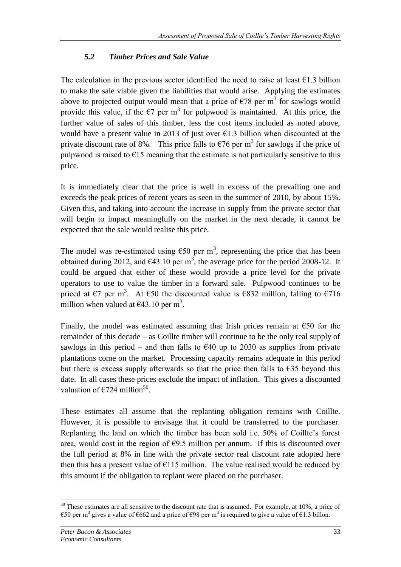# *5.2 Timber Prices and Sale Value*

The calculation in the previous sector identified the need to raise at least  $\epsilon$ 1.3 billion to make the sale viable given the liabilities that would arise. Applying the estimates above to projected output would mean that a price of  $\epsilon$ 78 per m<sup>3</sup> for sawlogs would provide this value, if the  $\epsilon$ 7 per m<sup>3</sup> for pulpwood is maintained. At this price, the further value of sales of this timber, less the cost items included as noted above, would have a present value in 2013 of just over  $\epsilon$ 1.3 billion when discounted at the private discount rate of 8%. This price falls to  $\epsilon$ 76 per m<sup>3</sup> for sawlogs if the price of pulpwood is raised to  $\epsilon$ 15 meaning that the estimate is not particularly sensitive to this price.

It is immediately clear that the price is well in excess of the prevailing one and exceeds the peak prices of recent years as seen in the summer of 2010, by about 15%. Given this, and taking into account the increase in supply from the private sector that will begin to impact meaningfully on the market in the next decade, it cannot be expected that the sale would realise this price.

The model was re-estimated using  $\epsilon$ 50 per m<sup>3</sup>, representing the price that has been obtained during 2012, and  $\epsilon$ 43.10 per m<sup>3</sup>, the average price for the period 2008-12. It could be argued that either of these would provide a price level for the private operators to use to value the timber in a forward sale. Pulpwood continues to be priced at  $\epsilon$ 7 per m<sup>3</sup>. At  $\epsilon$ 50 the discounted value is  $\epsilon$ 832 million, falling to  $\epsilon$ 716 million when valued at  $\epsilon$ 43.10 per m<sup>3</sup>.

Finally, the model was estimated assuming that Irish prices remain at  $\epsilon$ 50 for the remainder of this decade – as Coillte timber will continue to be the only real supply of sawlogs in this period – and then falls to  $\epsilon$ 40 up to 2030 as supplies from private plantations come on the market. Processing capacity remains adequate in this period but there is excess supply afterwards so that the price then falls to  $\epsilon$ 35 beyond this date. In all cases these prices exclude the impact of inflation. This gives a discounted valuation of  $\epsilon$ 724 million<sup>50</sup>.

These estimates all assume that the replanting obligation remains with Coillte. However, it is possible to envisage that it could be transferred to the purchaser. Replanting the land on which the timber has been sold i.e. 50% of Coillte's forest area, would cost in the region of  $\epsilon$ 9.5 million per annum. If this is discounted over the full period at 8% in line with the private sector real discount rate adopted here then this has a present value of  $E115$  million. The value realised would be reduced by this amount if the obligation to replant were placed on the purchaser.

<sup>1</sup>  $50$  These estimates are all sensitive to the discount rate that is assumed. For example, at 10%, a price of €50 per m<sup>3</sup> gives a value of €662 and a price of €98 per m<sup>3</sup> is required to give a value of €1.3 billon.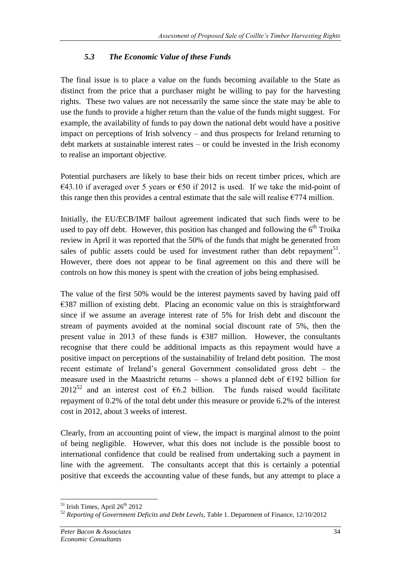## *5.3 The Economic Value of these Funds*

The final issue is to place a value on the funds becoming available to the State as distinct from the price that a purchaser might be willing to pay for the harvesting rights. These two values are not necessarily the same since the state may be able to use the funds to provide a higher return than the value of the funds might suggest. For example, the availability of funds to pay down the national debt would have a positive impact on perceptions of Irish solvency – and thus prospects for Ireland returning to debt markets at sustainable interest rates – or could be invested in the Irish economy to realise an important objective.

Potential purchasers are likely to base their bids on recent timber prices, which are €43.10 if averaged over 5 years or  $€50$  if 2012 is used. If we take the mid-point of this range then this provides a central estimate that the sale will realise  $\epsilon$ 774 million.

Initially, the EU/ECB/IMF bailout agreement indicated that such finds were to be used to pay off debt. However, this position has changed and following the  $6<sup>th</sup>$  Troika review in April it was reported that the 50% of the funds that might be generated from sales of public assets could be used for investment rather than debt repayment<sup>51</sup>. However, there does not appear to be final agreement on this and there will be controls on how this money is spent with the creation of jobs being emphasised.

The value of the first 50% would be the interest payments saved by having paid off €387 million of existing debt. Placing an economic value on this is straightforward since if we assume an average interest rate of 5% for Irish debt and discount the stream of payments avoided at the nominal social discount rate of 5%, then the present value in 2013 of these funds is  $\epsilon$ 387 million. However, the consultants recognise that there could be additional impacts as this repayment would have a positive impact on perceptions of the sustainability of Ireland debt position. The most recent estimate of Ireland's general Government consolidated gross debt – the measure used in the Maastricht returns – shows a planned debt of  $E192$  billion for 2012<sup>52</sup> and an interest cost of  $66.2$  billion. The funds raised would facilitate repayment of 0.2% of the total debt under this measure or provide 6.2% of the interest cost in 2012, about 3 weeks of interest.

Clearly, from an accounting point of view, the impact is marginal almost to the point of being negligible. However, what this does not include is the possible boost to international confidence that could be realised from undertaking such a payment in line with the agreement. The consultants accept that this is certainly a potential positive that exceeds the accounting value of these funds, but any attempt to place a

<sup>1</sup>  $51$  Irish Times, April  $26<sup>th</sup>$  2012

<sup>52</sup> *Reporting of Government Deficits and Debt Levels*, Table 1. Department of Finance, 12/10/2012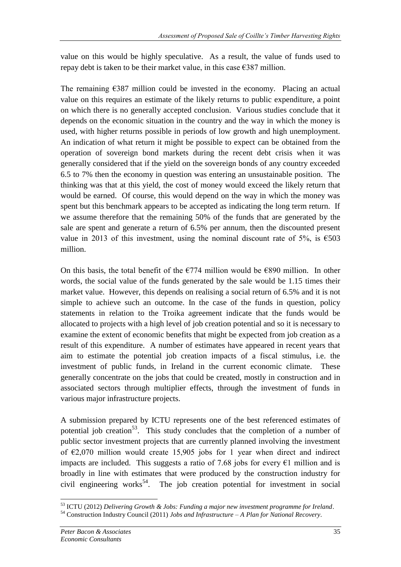value on this would be highly speculative. As a result, the value of funds used to repay debt is taken to be their market value, in this case  $\epsilon$ 387 million.

The remaining  $\epsilon$ 387 million could be invested in the economy. Placing an actual value on this requires an estimate of the likely returns to public expenditure, a point on which there is no generally accepted conclusion. Various studies conclude that it depends on the economic situation in the country and the way in which the money is used, with higher returns possible in periods of low growth and high unemployment. An indication of what return it might be possible to expect can be obtained from the operation of sovereign bond markets during the recent debt crisis when it was generally considered that if the yield on the sovereign bonds of any country exceeded 6.5 to 7% then the economy in question was entering an unsustainable position. The thinking was that at this yield, the cost of money would exceed the likely return that would be earned. Of course, this would depend on the way in which the money was spent but this benchmark appears to be accepted as indicating the long term return. If we assume therefore that the remaining 50% of the funds that are generated by the sale are spent and generate a return of 6.5% per annum, then the discounted present value in 2013 of this investment, using the nominal discount rate of 5%, is  $\epsilon$ 503 million.

On this basis, the total benefit of the  $\epsilon$ 774 million would be  $\epsilon$ 890 million. In other words, the social value of the funds generated by the sale would be 1.15 times their market value. However, this depends on realising a social return of 6.5% and it is not simple to achieve such an outcome. In the case of the funds in question, policy statements in relation to the Troika agreement indicate that the funds would be allocated to projects with a high level of job creation potential and so it is necessary to examine the extent of economic benefits that might be expected from job creation as a result of this expenditure. A number of estimates have appeared in recent years that aim to estimate the potential job creation impacts of a fiscal stimulus, i.e. the investment of public funds, in Ireland in the current economic climate. These generally concentrate on the jobs that could be created, mostly in construction and in associated sectors through multiplier effects, through the investment of funds in various major infrastructure projects.

A submission prepared by ICTU represents one of the best referenced estimates of potential job creation<sup>53</sup>. This study concludes that the completion of a number of public sector investment projects that are currently planned involving the investment of  $\epsilon$ 2,070 million would create 15,905 jobs for 1 year when direct and indirect impacts are included. This suggests a ratio of 7.68 jobs for every  $\epsilon$ 1 million and is broadly in line with estimates that were produced by the construction industry for civil engineering works<sup>54</sup>. The job creation potential for investment in social

<sup>1</sup> <sup>53</sup> ICTU (2012) *Delivering Growth & Jobs: Funding a major new investment programme for Ireland*. <sup>54</sup> Construction Industry Council (2011) *Jobs and Infrastructure – A Plan for National Recovery*.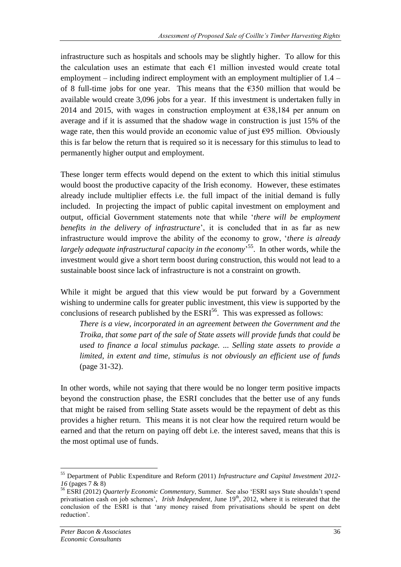infrastructure such as hospitals and schools may be slightly higher. To allow for this the calculation uses an estimate that each  $E1$  million invested would create total employment – including indirect employment with an employment multiplier of 1.4 – of 8 full-time jobs for one year. This means that the  $\epsilon$ 350 million that would be available would create 3,096 jobs for a year. If this investment is undertaken fully in 2014 and 2015, with wages in construction employment at  $\epsilon$ 38,184 per annum on average and if it is assumed that the shadow wage in construction is just 15% of the wage rate, then this would provide an economic value of just  $\epsilon$ 95 million. Obviously this is far below the return that is required so it is necessary for this stimulus to lead to permanently higher output and employment.

These longer term effects would depend on the extent to which this initial stimulus would boost the productive capacity of the Irish economy. However, these estimates already include multiplier effects i.e. the full impact of the initial demand is fully included. In projecting the impact of public capital investment on employment and output, official Government statements note that while '*there will be employment benefits in the delivery of infrastructure*', it is concluded that in as far as new infrastructure would improve the ability of the economy to grow, '*there is already*  largely adequate infrastructural capacity in the economy<sup>55</sup>. In other words, while the investment would give a short term boost during construction, this would not lead to a sustainable boost since lack of infrastructure is not a constraint on growth.

While it might be argued that this view would be put forward by a Government wishing to undermine calls for greater public investment, this view is supported by the conclusions of research published by the  $ESRI<sup>56</sup>$ . This was expressed as follows:

*There is a view, incorporated in an agreement between the Government and the Troika, that some part of the sale of State assets will provide funds that could be used to finance a local stimulus package. ... Selling state assets to provide a limited, in extent and time, stimulus is not obviously an efficient use of funds* (page 31-32).

In other words, while not saying that there would be no longer term positive impacts beyond the construction phase, the ESRI concludes that the better use of any funds that might be raised from selling State assets would be the repayment of debt as this provides a higher return. This means it is not clear how the required return would be earned and that the return on paying off debt i.e. the interest saved, means that this is the most optimal use of funds.

<sup>55</sup> Department of Public Expenditure and Reform (2011) *Infrastructure and Capital Investment 2012- 16* (pages 7 & 8)

<sup>56</sup> ESRI (2012) *Quarterly Economic Commentary*, Summer. See also 'ESRI says State shouldn't spend privatisation cash on job schemes', *Irish Independent*, June 19<sup>th</sup>, 2012, where it is reiterated that the conclusion of the ESRI is that 'any money raised from privatisations should be spent on debt reduction'.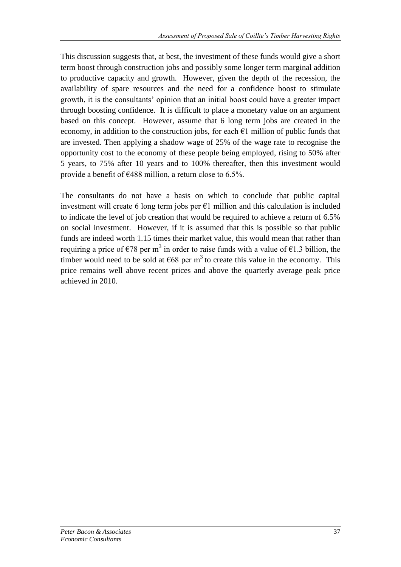This discussion suggests that, at best, the investment of these funds would give a short term boost through construction jobs and possibly some longer term marginal addition to productive capacity and growth. However, given the depth of the recession, the availability of spare resources and the need for a confidence boost to stimulate growth, it is the consultants' opinion that an initial boost could have a greater impact through boosting confidence. It is difficult to place a monetary value on an argument based on this concept. However, assume that 6 long term jobs are created in the economy, in addition to the construction jobs, for each  $\epsilon$ 1 million of public funds that are invested. Then applying a shadow wage of 25% of the wage rate to recognise the opportunity cost to the economy of these people being employed, rising to 50% after 5 years, to 75% after 10 years and to 100% thereafter, then this investment would provide a benefit of  $\epsilon$ 488 million, a return close to 6.5%.

The consultants do not have a basis on which to conclude that public capital investment will create 6 long term jobs per  $\epsilon$ 1 million and this calculation is included to indicate the level of job creation that would be required to achieve a return of 6.5% on social investment. However, if it is assumed that this is possible so that public funds are indeed worth 1.15 times their market value, this would mean that rather than requiring a price of  $\epsilon$ 78 per m<sup>3</sup> in order to raise funds with a value of  $\epsilon$ 1.3 billion, the timber would need to be sold at  $\epsilon$ 68 per m<sup>3</sup> to create this value in the economy. This price remains well above recent prices and above the quarterly average peak price achieved in 2010.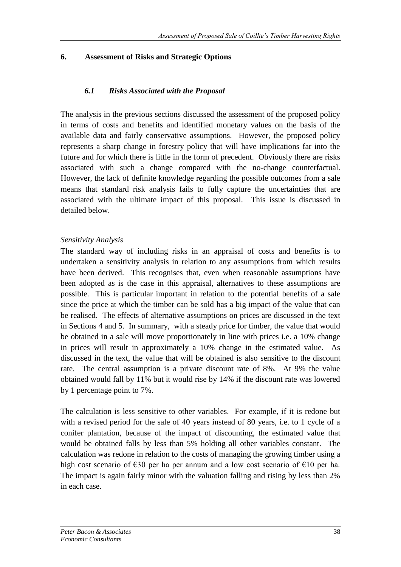## **6. Assessment of Risks and Strategic Options**

## *6.1 Risks Associated with the Proposal*

The analysis in the previous sections discussed the assessment of the proposed policy in terms of costs and benefits and identified monetary values on the basis of the available data and fairly conservative assumptions. However, the proposed policy represents a sharp change in forestry policy that will have implications far into the future and for which there is little in the form of precedent. Obviously there are risks associated with such a change compared with the no-change counterfactual. However, the lack of definite knowledge regarding the possible outcomes from a sale means that standard risk analysis fails to fully capture the uncertainties that are associated with the ultimate impact of this proposal. This issue is discussed in detailed below.

#### *Sensitivity Analysis*

The standard way of including risks in an appraisal of costs and benefits is to undertaken a sensitivity analysis in relation to any assumptions from which results have been derived. This recognises that, even when reasonable assumptions have been adopted as is the case in this appraisal, alternatives to these assumptions are possible. This is particular important in relation to the potential benefits of a sale since the price at which the timber can be sold has a big impact of the value that can be realised. The effects of alternative assumptions on prices are discussed in the text in Sections 4 and 5. In summary, with a steady price for timber, the value that would be obtained in a sale will move proportionately in line with prices i.e. a 10% change in prices will result in approximately a 10% change in the estimated value. As discussed in the text, the value that will be obtained is also sensitive to the discount rate. The central assumption is a private discount rate of 8%. At 9% the value obtained would fall by 11% but it would rise by 14% if the discount rate was lowered by 1 percentage point to 7%.

The calculation is less sensitive to other variables. For example, if it is redone but with a revised period for the sale of 40 years instead of 80 years, i.e. to 1 cycle of a conifer plantation, because of the impact of discounting, the estimated value that would be obtained falls by less than 5% holding all other variables constant. The calculation was redone in relation to the costs of managing the growing timber using a high cost scenario of  $\epsilon$ 30 per ha per annum and a low cost scenario of  $\epsilon$ 10 per ha. The impact is again fairly minor with the valuation falling and rising by less than 2% in each case.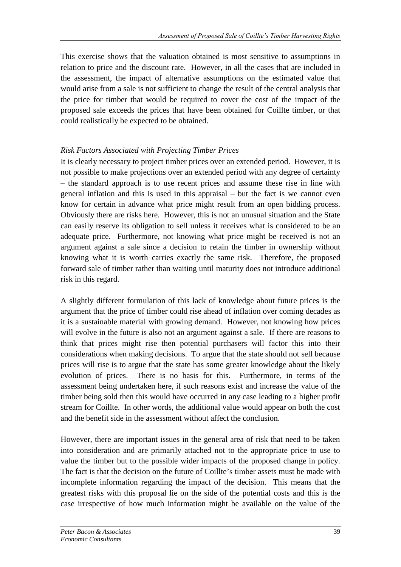This exercise shows that the valuation obtained is most sensitive to assumptions in relation to price and the discount rate. However, in all the cases that are included in the assessment, the impact of alternative assumptions on the estimated value that would arise from a sale is not sufficient to change the result of the central analysis that the price for timber that would be required to cover the cost of the impact of the proposed sale exceeds the prices that have been obtained for Coillte timber, or that could realistically be expected to be obtained.

## *Risk Factors Associated with Projecting Timber Prices*

It is clearly necessary to project timber prices over an extended period. However, it is not possible to make projections over an extended period with any degree of certainty – the standard approach is to use recent prices and assume these rise in line with general inflation and this is used in this appraisal – but the fact is we cannot even know for certain in advance what price might result from an open bidding process. Obviously there are risks here. However, this is not an unusual situation and the State can easily reserve its obligation to sell unless it receives what is considered to be an adequate price. Furthermore, not knowing what price might be received is not an argument against a sale since a decision to retain the timber in ownership without knowing what it is worth carries exactly the same risk. Therefore, the proposed forward sale of timber rather than waiting until maturity does not introduce additional risk in this regard.

A slightly different formulation of this lack of knowledge about future prices is the argument that the price of timber could rise ahead of inflation over coming decades as it is a sustainable material with growing demand. However, not knowing how prices will evolve in the future is also not an argument against a sale. If there are reasons to think that prices might rise then potential purchasers will factor this into their considerations when making decisions. To argue that the state should not sell because prices will rise is to argue that the state has some greater knowledge about the likely evolution of prices. There is no basis for this. Furthermore, in terms of the assessment being undertaken here, if such reasons exist and increase the value of the timber being sold then this would have occurred in any case leading to a higher profit stream for Coillte. In other words, the additional value would appear on both the cost and the benefit side in the assessment without affect the conclusion.

However, there are important issues in the general area of risk that need to be taken into consideration and are primarily attached not to the appropriate price to use to value the timber but to the possible wider impacts of the proposed change in policy. The fact is that the decision on the future of Coillte's timber assets must be made with incomplete information regarding the impact of the decision. This means that the greatest risks with this proposal lie on the side of the potential costs and this is the case irrespective of how much information might be available on the value of the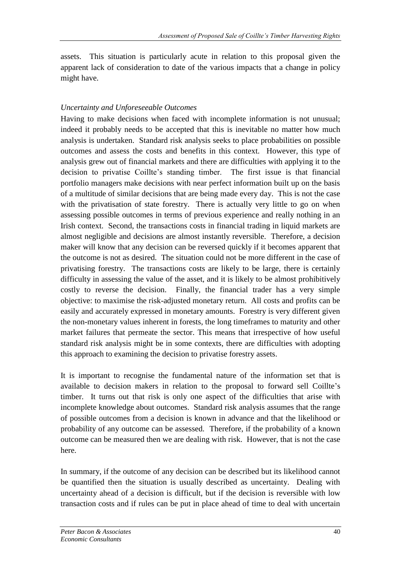assets. This situation is particularly acute in relation to this proposal given the apparent lack of consideration to date of the various impacts that a change in policy might have.

## *Uncertainty and Unforeseeable Outcomes*

Having to make decisions when faced with incomplete information is not unusual; indeed it probably needs to be accepted that this is inevitable no matter how much analysis is undertaken. Standard risk analysis seeks to place probabilities on possible outcomes and assess the costs and benefits in this context. However, this type of analysis grew out of financial markets and there are difficulties with applying it to the decision to privatise Coillte's standing timber. The first issue is that financial portfolio managers make decisions with near perfect information built up on the basis of a multitude of similar decisions that are being made every day. This is not the case with the privatisation of state forestry. There is actually very little to go on when assessing possible outcomes in terms of previous experience and really nothing in an Irish context. Second, the transactions costs in financial trading in liquid markets are almost negligible and decisions are almost instantly reversible. Therefore, a decision maker will know that any decision can be reversed quickly if it becomes apparent that the outcome is not as desired. The situation could not be more different in the case of privatising forestry. The transactions costs are likely to be large, there is certainly difficulty in assessing the value of the asset, and it is likely to be almost prohibitively costly to reverse the decision. Finally, the financial trader has a very simple objective: to maximise the risk-adjusted monetary return. All costs and profits can be easily and accurately expressed in monetary amounts. Forestry is very different given the non-monetary values inherent in forests, the long timeframes to maturity and other market failures that permeate the sector. This means that irrespective of how useful standard risk analysis might be in some contexts, there are difficulties with adopting this approach to examining the decision to privatise forestry assets.

It is important to recognise the fundamental nature of the information set that is available to decision makers in relation to the proposal to forward sell Coillte's timber. It turns out that risk is only one aspect of the difficulties that arise with incomplete knowledge about outcomes. Standard risk analysis assumes that the range of possible outcomes from a decision is known in advance and that the likelihood or probability of any outcome can be assessed. Therefore, if the probability of a known outcome can be measured then we are dealing with risk. However, that is not the case here.

In summary, if the outcome of any decision can be described but its likelihood cannot be quantified then the situation is usually described as uncertainty. Dealing with uncertainty ahead of a decision is difficult, but if the decision is reversible with low transaction costs and if rules can be put in place ahead of time to deal with uncertain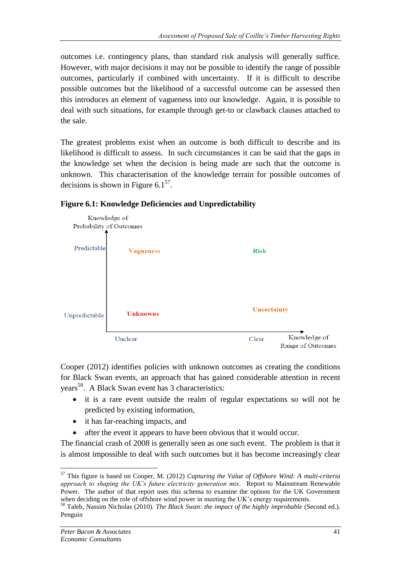outcomes i.e. contingency plans, than standard risk analysis will generally suffice. However, with major decisions it may not be possible to identify the range of possible outcomes, particularly if combined with uncertainty. If it is difficult to describe possible outcomes but the likelihood of a successful outcome can be assessed then this introduces an element of vagueness into our knowledge. Again, it is possible to deal with such situations, for example through get-to or clawback clauses attached to the sale.

The greatest problems exist when an outcome is both difficult to describe and its likelihood is difficult to assess. In such circumstances it can be said that the gaps in the knowledge set when the decision is being made are such that the outcome is unknown. This characterisation of the knowledge terrain for possible outcomes of decisions is shown in Figure  $6.1<sup>57</sup>$ .



## **Figure 6.1: Knowledge Deficiencies and Unpredictability**

Cooper (2012) identifies policies with unknown outcomes as creating the conditions for Black Swan events, an approach that has gained considerable attention in recent years<sup>58</sup>. A Black Swan event has 3 characteristics:

- it is a rare event outside the realm of regular expectations so will not be predicted by existing information,
- it has far-reaching impacts, and
- after the event it appears to have been obvious that it would occur.

The financial crash of 2008 is generally seen as one such event. The problem is that it is almost impossible to deal with such outcomes but it has become increasingly clear

<sup>57</sup> This figure is based on Cooper, M. (2012) *Capturing the Value of Offshore Wind: A multi-criteria approach to shaping the UK's future electricity generation mix*. Report to Mainstream Renewable Power. The author of that report uses this schema to examine the options for the UK Government when deciding on the role of offshore wind power in meeting the UK's energy requirements.

<sup>58</sup> Taleb, Nassim Nicholas (2010). *The Black Swan: the impact of the highly improbable* (Second ed.). Penguin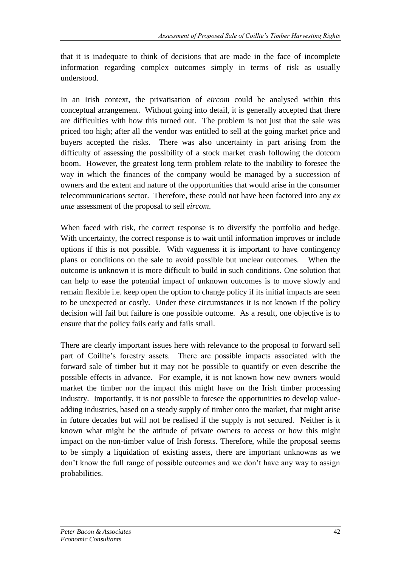that it is inadequate to think of decisions that are made in the face of incomplete information regarding complex outcomes simply in terms of risk as usually understood.

In an Irish context, the privatisation of *eircom* could be analysed within this conceptual arrangement. Without going into detail, it is generally accepted that there are difficulties with how this turned out. The problem is not just that the sale was priced too high; after all the vendor was entitled to sell at the going market price and buyers accepted the risks. There was also uncertainty in part arising from the difficulty of assessing the possibility of a stock market crash following the dotcom boom. However, the greatest long term problem relate to the inability to foresee the way in which the finances of the company would be managed by a succession of owners and the extent and nature of the opportunities that would arise in the consumer telecommunications sector. Therefore, these could not have been factored into any *ex ante* assessment of the proposal to sell *eircom*.

When faced with risk, the correct response is to diversify the portfolio and hedge. With uncertainty, the correct response is to wait until information improves or include options if this is not possible. With vagueness it is important to have contingency plans or conditions on the sale to avoid possible but unclear outcomes. When the outcome is unknown it is more difficult to build in such conditions. One solution that can help to ease the potential impact of unknown outcomes is to move slowly and remain flexible i.e. keep open the option to change policy if its initial impacts are seen to be unexpected or costly. Under these circumstances it is not known if the policy decision will fail but failure is one possible outcome. As a result, one objective is to ensure that the policy fails early and fails small.

There are clearly important issues here with relevance to the proposal to forward sell part of Coillte's forestry assets. There are possible impacts associated with the forward sale of timber but it may not be possible to quantify or even describe the possible effects in advance. For example, it is not known how new owners would market the timber nor the impact this might have on the Irish timber processing industry. Importantly, it is not possible to foresee the opportunities to develop valueadding industries, based on a steady supply of timber onto the market, that might arise in future decades but will not be realised if the supply is not secured. Neither is it known what might be the attitude of private owners to access or how this might impact on the non-timber value of Irish forests. Therefore, while the proposal seems to be simply a liquidation of existing assets, there are important unknowns as we don't know the full range of possible outcomes and we don't have any way to assign probabilities.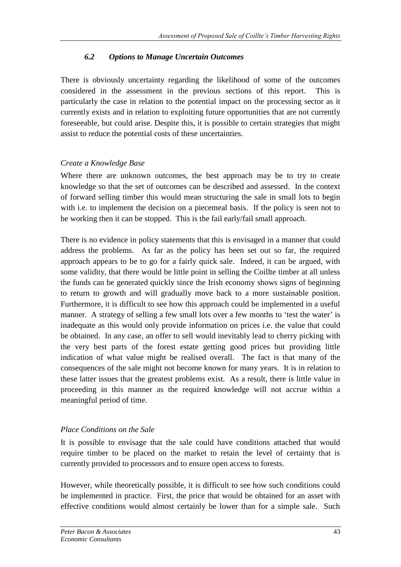## *6.2 Options to Manage Uncertain Outcomes*

There is obviously uncertainty regarding the likelihood of some of the outcomes considered in the assessment in the previous sections of this report. This is particularly the case in relation to the potential impact on the processing sector as it currently exists and in relation to exploiting future opportunities that are not currently foreseeable, but could arise. Despite this, it is possible to certain strategies that might assist to reduce the potential costs of these uncertainties.

## *Create a Knowledge Base*

Where there are unknown outcomes, the best approach may be to try to create knowledge so that the set of outcomes can be described and assessed. In the context of forward selling timber this would mean structuring the sale in small lots to begin with i.e. to implement the decision on a piecemeal basis. If the policy is seen not to be working then it can be stopped. This is the fail early/fail small approach.

There is no evidence in policy statements that this is envisaged in a manner that could address the problems. As far as the policy has been set out so far, the required approach appears to be to go for a fairly quick sale. Indeed, it can be argued, with some validity, that there would be little point in selling the Coillte timber at all unless the funds can be generated quickly since the Irish economy shows signs of beginning to return to growth and will gradually move back to a more sustainable position. Furthermore, it is difficult to see how this approach could be implemented in a useful manner. A strategy of selling a few small lots over a few months to 'test the water' is inadequate as this would only provide information on prices i.e. the value that could be obtained. In any case, an offer to sell would inevitably lead to cherry picking with the very best parts of the forest estate getting good prices but providing little indication of what value might be realised overall. The fact is that many of the consequences of the sale might not become known for many years. It is in relation to these latter issues that the greatest problems exist. As a result, there is little value in proceeding in this manner as the required knowledge will not accrue within a meaningful period of time.

## *Place Conditions on the Sale*

It is possible to envisage that the sale could have conditions attached that would require timber to be placed on the market to retain the level of certainty that is currently provided to processors and to ensure open access to forests.

However, while theoretically possible, it is difficult to see how such conditions could be implemented in practice. First, the price that would be obtained for an asset with effective conditions would almost certainly be lower than for a simple sale. Such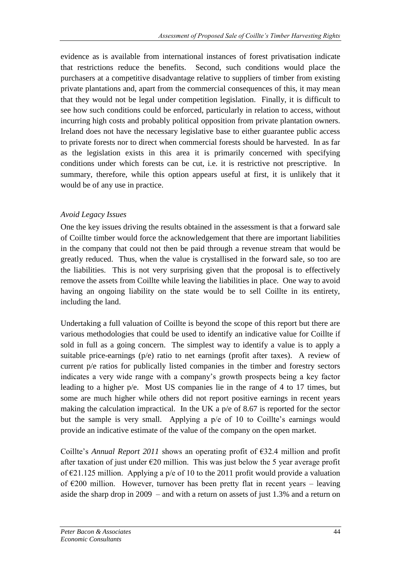evidence as is available from international instances of forest privatisation indicate that restrictions reduce the benefits. Second, such conditions would place the purchasers at a competitive disadvantage relative to suppliers of timber from existing private plantations and, apart from the commercial consequences of this, it may mean that they would not be legal under competition legislation. Finally, it is difficult to see how such conditions could be enforced, particularly in relation to access, without incurring high costs and probably political opposition from private plantation owners. Ireland does not have the necessary legislative base to either guarantee public access to private forests nor to direct when commercial forests should be harvested. In as far as the legislation exists in this area it is primarily concerned with specifying conditions under which forests can be cut, i.e. it is restrictive not prescriptive. In summary, therefore, while this option appears useful at first, it is unlikely that it would be of any use in practice.

## *Avoid Legacy Issues*

One the key issues driving the results obtained in the assessment is that a forward sale of Coillte timber would force the acknowledgement that there are important liabilities in the company that could not then be paid through a revenue stream that would be greatly reduced. Thus, when the value is crystallised in the forward sale, so too are the liabilities. This is not very surprising given that the proposal is to effectively remove the assets from Coillte while leaving the liabilities in place. One way to avoid having an ongoing liability on the state would be to sell Coillte in its entirety, including the land.

Undertaking a full valuation of Coillte is beyond the scope of this report but there are various methodologies that could be used to identify an indicative value for Coillte if sold in full as a going concern. The simplest way to identify a value is to apply a suitable price-earnings (p/e) ratio to net earnings (profit after taxes). A review of current p/e ratios for publically listed companies in the timber and forestry sectors indicates a very wide range with a company's growth prospects being a key factor leading to a higher p/e. Most US companies lie in the range of 4 to 17 times, but some are much higher while others did not report positive earnings in recent years making the calculation impractical. In the UK a p/e of 8.67 is reported for the sector but the sample is very small. Applying a p/e of 10 to Coillte's earnings would provide an indicative estimate of the value of the company on the open market.

Coillte's *Annual Report 2011* shows an operating profit of  $\epsilon$ 32.4 million and profit after taxation of just under  $\epsilon$ 20 million. This was just below the 5 year average profit of  $\epsilon$ 21.125 million. Applying a p/e of 10 to the 2011 profit would provide a valuation of  $\epsilon$ 200 million. However, turnover has been pretty flat in recent years – leaving aside the sharp drop in 2009 – and with a return on assets of just 1.3% and a return on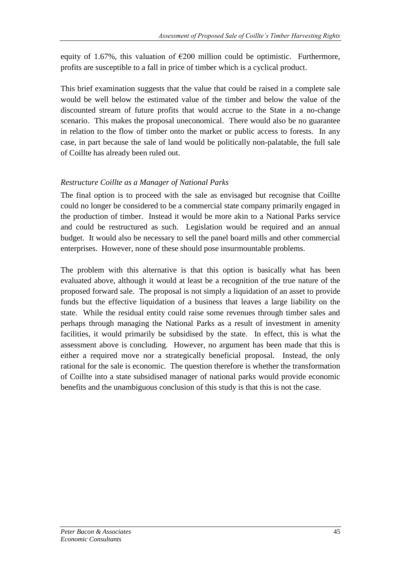equity of 1.67%, this valuation of  $\epsilon$ 200 million could be optimistic. Furthermore, profits are susceptible to a fall in price of timber which is a cyclical product.

This brief examination suggests that the value that could be raised in a complete sale would be well below the estimated value of the timber and below the value of the discounted stream of future profits that would accrue to the State in a no-change scenario. This makes the proposal uneconomical. There would also be no guarantee in relation to the flow of timber onto the market or public access to forests. In any case, in part because the sale of land would be politically non-palatable, the full sale of Coillte has already been ruled out.

## *Restructure Coillte as a Manager of National Parks*

The final option is to proceed with the sale as envisaged but recognise that Coillte could no longer be considered to be a commercial state company primarily engaged in the production of timber. Instead it would be more akin to a National Parks service and could be restructured as such. Legislation would be required and an annual budget. It would also be necessary to sell the panel board mills and other commercial enterprises. However, none of these should pose insurmountable problems.

The problem with this alternative is that this option is basically what has been evaluated above, although it would at least be a recognition of the true nature of the proposed forward sale. The proposal is not simply a liquidation of an asset to provide funds but the effective liquidation of a business that leaves a large liability on the state. While the residual entity could raise some revenues through timber sales and perhaps through managing the National Parks as a result of investment in amenity facilities, it would primarily be subsidised by the state. In effect, this is what the assessment above is concluding. However, no argument has been made that this is either a required move nor a strategically beneficial proposal. Instead, the only rational for the sale is economic. The question therefore is whether the transformation of Coillte into a state subsidised manager of national parks would provide economic benefits and the unambiguous conclusion of this study is that this is not the case.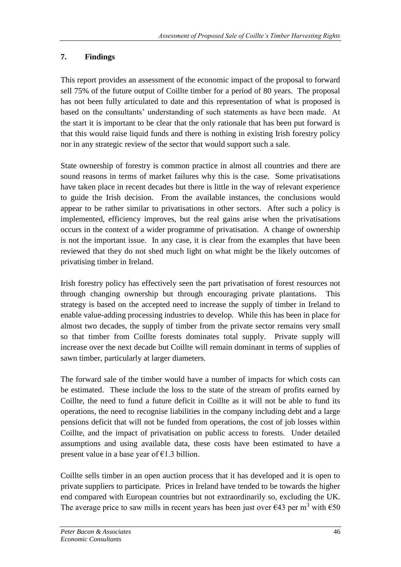# **7. Findings**

This report provides an assessment of the economic impact of the proposal to forward sell 75% of the future output of Coillte timber for a period of 80 years. The proposal has not been fully articulated to date and this representation of what is proposed is based on the consultants' understanding of such statements as have been made. At the start it is important to be clear that the only rationale that has been put forward is that this would raise liquid funds and there is nothing in existing Irish forestry policy nor in any strategic review of the sector that would support such a sale.

State ownership of forestry is common practice in almost all countries and there are sound reasons in terms of market failures why this is the case. Some privatisations have taken place in recent decades but there is little in the way of relevant experience to guide the Irish decision. From the available instances, the conclusions would appear to be rather similar to privatisations in other sectors. After such a policy is implemented, efficiency improves, but the real gains arise when the privatisations occurs in the context of a wider programme of privatisation. A change of ownership is not the important issue. In any case, it is clear from the examples that have been reviewed that they do not shed much light on what might be the likely outcomes of privatising timber in Ireland.

Irish forestry policy has effectively seen the part privatisation of forest resources not through changing ownership but through encouraging private plantations. This strategy is based on the accepted need to increase the supply of timber in Ireland to enable value-adding processing industries to develop. While this has been in place for almost two decades, the supply of timber from the private sector remains very small so that timber from Coillte forests dominates total supply. Private supply will increase over the next decade but Coillte will remain dominant in terms of supplies of sawn timber, particularly at larger diameters.

The forward sale of the timber would have a number of impacts for which costs can be estimated. These include the loss to the state of the stream of profits earned by Coillte, the need to fund a future deficit in Coillte as it will not be able to fund its operations, the need to recognise liabilities in the company including debt and a large pensions deficit that will not be funded from operations, the cost of job losses within Coillte, and the impact of privatisation on public access to forests. Under detailed assumptions and using available data, these costs have been estimated to have a present value in a base year of  $\epsilon$ 1.3 billion.

Coillte sells timber in an open auction process that it has developed and it is open to private suppliers to participate. Prices in Ireland have tended to be towards the higher end compared with European countries but not extraordinarily so, excluding the UK. The average price to saw mills in recent years has been just over  $\epsilon$ 43 per m<sup>3</sup> with  $\epsilon$ 50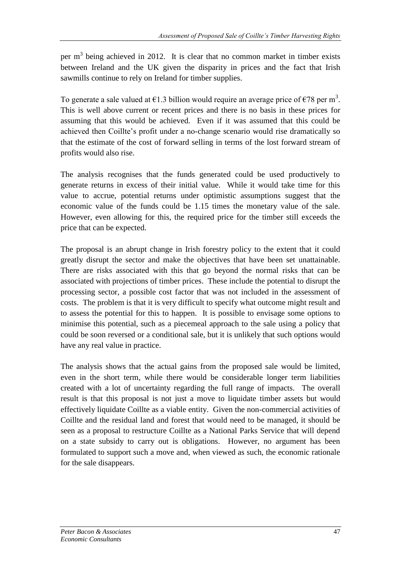per  $m<sup>3</sup>$  being achieved in 2012. It is clear that no common market in timber exists between Ireland and the UK given the disparity in prices and the fact that Irish sawmills continue to rely on Ireland for timber supplies.

To generate a sale valued at  $\epsilon$ 1.3 billion would require an average price of  $\epsilon$ 78 per m<sup>3</sup>. This is well above current or recent prices and there is no basis in these prices for assuming that this would be achieved. Even if it was assumed that this could be achieved then Coillte's profit under a no-change scenario would rise dramatically so that the estimate of the cost of forward selling in terms of the lost forward stream of profits would also rise.

The analysis recognises that the funds generated could be used productively to generate returns in excess of their initial value. While it would take time for this value to accrue, potential returns under optimistic assumptions suggest that the economic value of the funds could be 1.15 times the monetary value of the sale. However, even allowing for this, the required price for the timber still exceeds the price that can be expected.

The proposal is an abrupt change in Irish forestry policy to the extent that it could greatly disrupt the sector and make the objectives that have been set unattainable. There are risks associated with this that go beyond the normal risks that can be associated with projections of timber prices. These include the potential to disrupt the processing sector, a possible cost factor that was not included in the assessment of costs. The problem is that it is very difficult to specify what outcome might result and to assess the potential for this to happen. It is possible to envisage some options to minimise this potential, such as a piecemeal approach to the sale using a policy that could be soon reversed or a conditional sale, but it is unlikely that such options would have any real value in practice.

The analysis shows that the actual gains from the proposed sale would be limited, even in the short term, while there would be considerable longer term liabilities created with a lot of uncertainty regarding the full range of impacts. The overall result is that this proposal is not just a move to liquidate timber assets but would effectively liquidate Coillte as a viable entity. Given the non-commercial activities of Coillte and the residual land and forest that would need to be managed, it should be seen as a proposal to restructure Coillte as a National Parks Service that will depend on a state subsidy to carry out is obligations. However, no argument has been formulated to support such a move and, when viewed as such, the economic rationale for the sale disappears.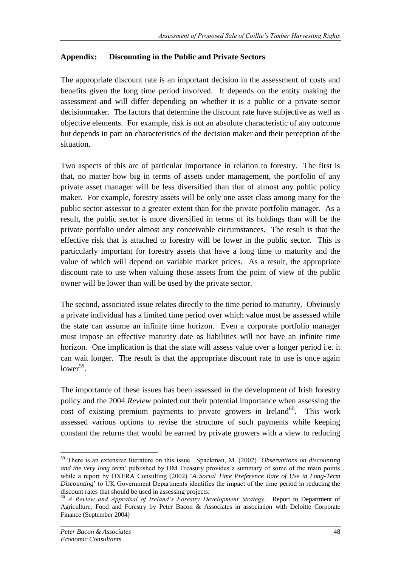## **Appendix: Discounting in the Public and Private Sectors**

The appropriate discount rate is an important decision in the assessment of costs and benefits given the long time period involved. It depends on the entity making the assessment and will differ depending on whether it is a public or a private sector decisionmaker. The factors that determine the discount rate have subjective as well as objective elements. For example, risk is not an absolute characteristic of any outcome but depends in part on characteristics of the decision maker and their perception of the situation.

Two aspects of this are of particular importance in relation to forestry. The first is that, no matter how big in terms of assets under management, the portfolio of any private asset manager will be less diversified than that of almost any public policy maker. For example, forestry assets will be only one asset class among many for the public sector assessor to a greater extent than for the private portfolio manager. As a result, the public sector is more diversified in terms of its holdings than will be the private portfolio under almost any conceivable circumstances. The result is that the effective risk that is attached to forestry will be lower in the public sector. This is particularly important for forestry assets that have a long time to maturity and the value of which will depend on variable market prices. As a result, the appropriate discount rate to use when valuing those assets from the point of view of the public owner will be lower than will be used by the private sector.

The second, associated issue relates directly to the time period to maturity. Obviously a private individual has a limited time period over which value must be assessed while the state can assume an infinite time horizon. Even a corporate portfolio manager must impose an effective maturity date as liabilities will not have an infinite time horizon. One implication is that the state will assess value over a longer period i.e. it can wait longer. The result is that the appropriate discount rate to use is once again  $lower^{59}$ .

The importance of these issues has been assessed in the development of Irish forestry policy and the 2004 *Review* pointed out their potential importance when assessing the cost of existing premium payments to private growers in Ireland<sup>60</sup>. This work assessed various options to revise the structure of such payments while keeping constant the returns that would be earned by private growers with a view to reducing

<sup>59</sup> There is an extensive literature on this issue. Spackman, M. (2002) '*Observations on discounting and the very long term*' published by HM Treasury provides a summary of some of the main points while a report by OXERA Consulting (2002) '*A Social Time Preference Rate of Use in Long-Term Discounting*' to UK Government Departments identifies the impact of the time period in reducing the discount rates that should be used in assessing projects.

<sup>60</sup> *A Review and Appraisal of Ireland's Forestry Development Strategy*. Report to Department of Agriculture, Food and Forestry by Peter Bacon & Associates in association with Deloitte Corporate Finance (September 2004)